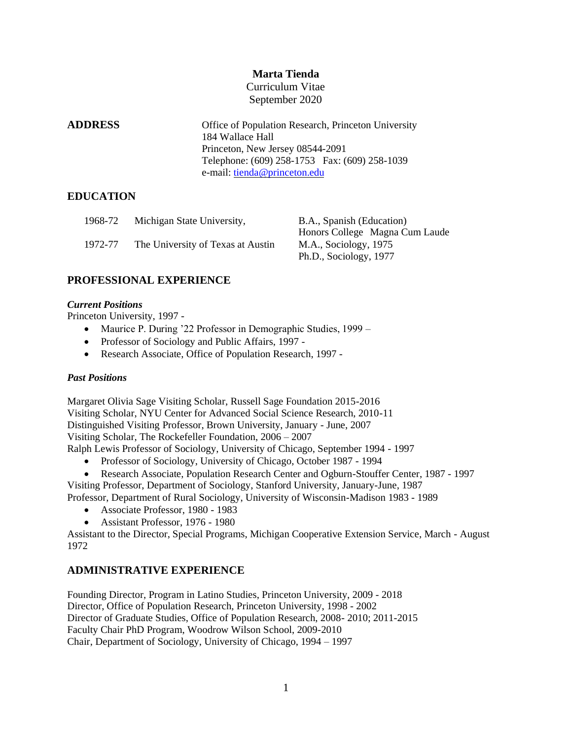# **Marta Tienda**

Curriculum Vitae September 2020

**ADDRESS** Office of Population Research, Princeton University 184 Wallace Hall Princeton, New Jersey 08544-2091 Telephone: (609) 258-1753 Fax: (609) 258-1039 e-mail: [tienda@princeton.edu](mailto:tienda@princeton.edu)

## **EDUCATION**

| 1968-72 | Michigan State University,        | B.A., Spanish (Education)      |
|---------|-----------------------------------|--------------------------------|
|         |                                   | Honors College Magna Cum Laude |
| 1972-77 | The University of Texas at Austin | M.A., Sociology, 1975          |
|         |                                   | Ph.D., Sociology, 1977         |

# **PROFESSIONAL EXPERIENCE**

## *Current Positions*

Princeton University, 1997 -

- Maurice P. During '22 Professor in Demographic Studies, 1999 –
- Professor of Sociology and Public Affairs, 1997 -
- Research Associate, Office of Population Research, 1997 -

## *Past Positions*

Margaret Olivia Sage Visiting Scholar, Russell Sage Foundation 2015-2016 Visiting Scholar, NYU Center for Advanced Social Science Research, 2010-11 Distinguished Visiting Professor, Brown University, January - June, 2007 Visiting Scholar, The Rockefeller Foundation, 2006 – 2007 Ralph Lewis Professor of Sociology, University of Chicago, September 1994 - 1997

- Professor of Sociology, University of Chicago, October 1987 1994
- Research Associate, Population Research Center and Ogburn-Stouffer Center, 1987 1997

Visiting Professor, Department of Sociology, Stanford University, January-June, 1987 Professor, Department of Rural Sociology, University of Wisconsin-Madison 1983 - 1989

- Associate Professor, 1980 1983
- Assistant Professor, 1976 1980

Assistant to the Director, Special Programs, Michigan Cooperative Extension Service, March - August 1972

# **ADMINISTRATIVE EXPERIENCE**

Founding Director, Program in Latino Studies, Princeton University, 2009 - 2018 Director, Office of Population Research, Princeton University, 1998 - 2002 Director of Graduate Studies, Office of Population Research, 2008- 2010; 2011-2015 Faculty Chair PhD Program, Woodrow Wilson School, 2009-2010 Chair, Department of Sociology, University of Chicago, 1994 – 1997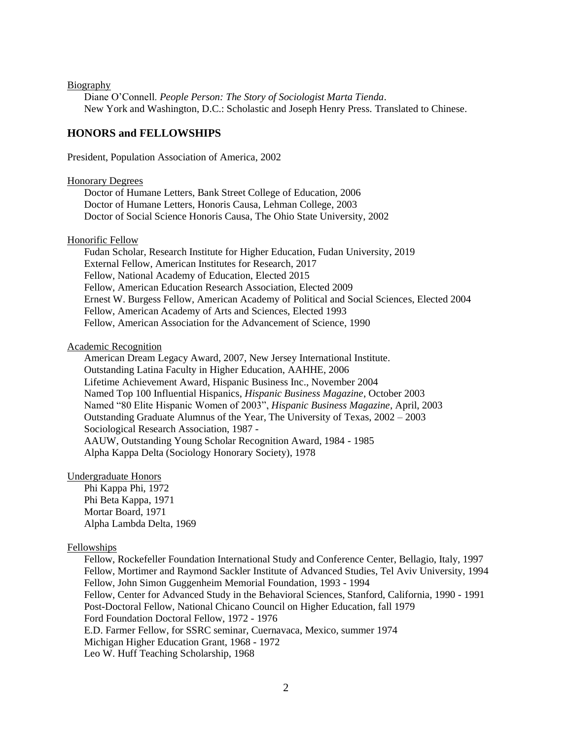#### Biography

Diane O'Connell. *People Person: The Story of Sociologist Marta Tienda*. New York and Washington, D.C.: Scholastic and Joseph Henry Press. Translated to Chinese.

## **HONORS and FELLOWSHIPS**

President, Population Association of America, 2002

#### Honorary Degrees

Doctor of Humane Letters, Bank Street College of Education, 2006 Doctor of Humane Letters, Honoris Causa, Lehman College, 2003 Doctor of Social Science Honoris Causa, The Ohio State University, 2002

#### Honorific Fellow

Fudan Scholar, Research Institute for Higher Education, Fudan University, 2019 External Fellow, American Institutes for Research, 2017 Fellow, National Academy of Education, Elected 2015 Fellow, American Education Research Association, Elected 2009 Ernest W. Burgess Fellow, American Academy of Political and Social Sciences, Elected 2004 Fellow, American Academy of Arts and Sciences, Elected 1993 Fellow, American Association for the Advancement of Science, 1990

#### Academic Recognition

American Dream Legacy Award, 2007, New Jersey International Institute. Outstanding Latina Faculty in Higher Education, AAHHE, 2006 Lifetime Achievement Award, Hispanic Business Inc., November 2004 Named Top 100 Influential Hispanics, *Hispanic Business Magazine*, October 2003 Named "80 Elite Hispanic Women of 2003", *Hispanic Business Magazine*, April, 2003 Outstanding Graduate Alumnus of the Year, The University of Texas, 2002 – 2003 Sociological Research Association, 1987 - AAUW, Outstanding Young Scholar Recognition Award, 1984 - 1985 Alpha Kappa Delta (Sociology Honorary Society), 1978

#### Undergraduate Honors

Phi Kappa Phi, 1972 Phi Beta Kappa, 1971 Mortar Board, 1971 Alpha Lambda Delta, 1969

#### Fellowships

Fellow, Rockefeller Foundation International Study and Conference Center, Bellagio, Italy, 1997 Fellow, Mortimer and Raymond Sackler Institute of Advanced Studies, Tel Aviv University, 1994 Fellow, John Simon Guggenheim Memorial Foundation, 1993 - 1994 Fellow, Center for Advanced Study in the Behavioral Sciences, Stanford, California, 1990 - 1991 Post-Doctoral Fellow, National Chicano Council on Higher Education, fall 1979 Ford Foundation Doctoral Fellow, 1972 - 1976 E.D. Farmer Fellow, for SSRC seminar, Cuernavaca, Mexico, summer 1974 Michigan Higher Education Grant, 1968 - 1972 Leo W. Huff Teaching Scholarship, 1968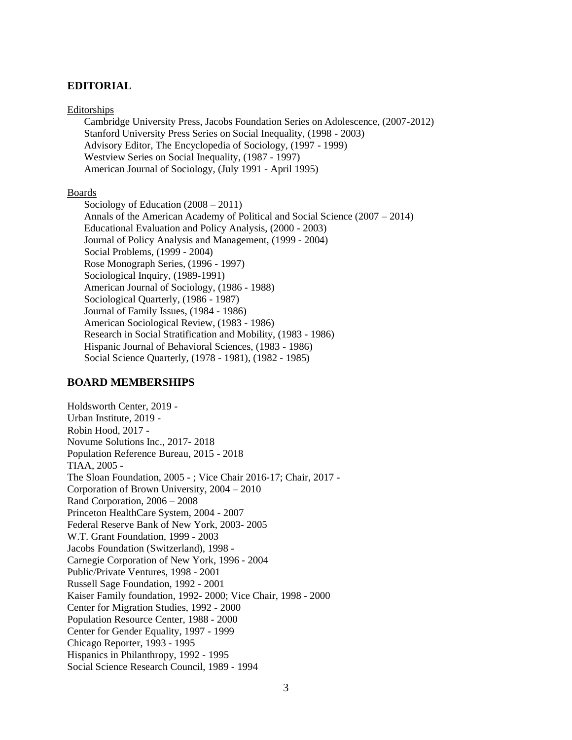## **EDITORIAL**

#### Editorships

Cambridge University Press, Jacobs Foundation Series on Adolescence, (2007-2012) Stanford University Press Series on Social Inequality, (1998 - 2003) Advisory Editor, The Encyclopedia of Sociology, (1997 - 1999) Westview Series on Social Inequality, (1987 - 1997) American Journal of Sociology, (July 1991 - April 1995)

#### Boards

Sociology of Education (2008 – 2011) Annals of the American Academy of Political and Social Science (2007 – 2014) Educational Evaluation and Policy Analysis, (2000 - 2003) Journal of Policy Analysis and Management, (1999 - 2004) Social Problems, (1999 - 2004) Rose Monograph Series, (1996 - 1997) Sociological Inquiry, (1989-1991) American Journal of Sociology, (1986 - 1988) Sociological Quarterly, (1986 - 1987) Journal of Family Issues, (1984 - 1986) American Sociological Review, (1983 - 1986) Research in Social Stratification and Mobility, (1983 - 1986) Hispanic Journal of Behavioral Sciences, (1983 - 1986) Social Science Quarterly, (1978 - 1981), (1982 - 1985)

## **BOARD MEMBERSHIPS**

Holdsworth Center, 2019 - Urban Institute, 2019 - Robin Hood, 2017 - Novume Solutions Inc., 2017- 2018 Population Reference Bureau, 2015 - 2018 TIAA, 2005 - The Sloan Foundation, 2005 - ; Vice Chair 2016-17; Chair, 2017 - Corporation of Brown University, 2004 – 2010 Rand Corporation, 2006 – 2008 Princeton HealthCare System, 2004 - 2007 Federal Reserve Bank of New York, 2003- 2005 W.T. Grant Foundation, 1999 - 2003 Jacobs Foundation (Switzerland), 1998 - Carnegie Corporation of New York, 1996 - 2004 Public/Private Ventures, 1998 - 2001 Russell Sage Foundation, 1992 - 2001 Kaiser Family foundation, 1992- 2000; Vice Chair, 1998 - 2000 Center for Migration Studies, 1992 - 2000 Population Resource Center, 1988 - 2000 Center for Gender Equality, 1997 - 1999 Chicago Reporter, 1993 - 1995 Hispanics in Philanthropy, 1992 - 1995 Social Science Research Council, 1989 - 1994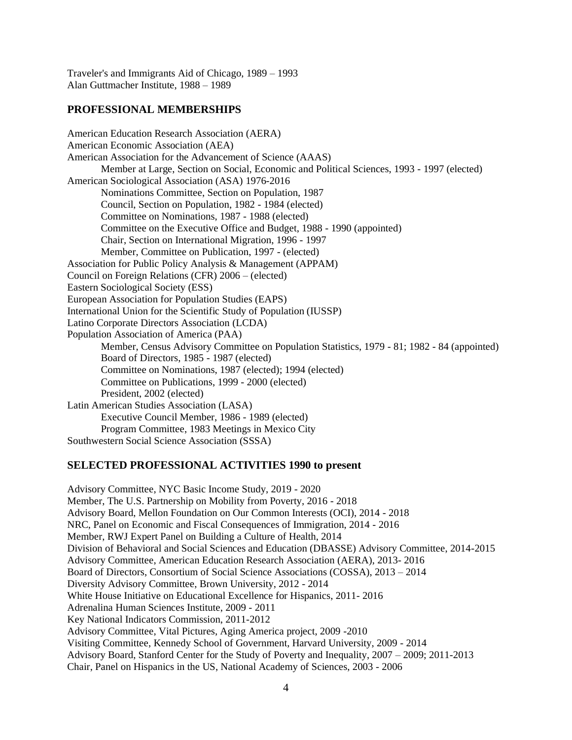Traveler's and Immigrants Aid of Chicago, 1989 – 1993 Alan Guttmacher Institute, 1988 – 1989

## **PROFESSIONAL MEMBERSHIPS**

American Education Research Association (AERA) American Economic Association (AEA) American Association for the Advancement of Science (AAAS) Member at Large, Section on Social, Economic and Political Sciences, 1993 - 1997 (elected) American Sociological Association (ASA) 1976-2016 Nominations Committee, Section on Population, 1987 Council, Section on Population, 1982 - 1984 (elected) Committee on Nominations, 1987 - 1988 (elected) Committee on the Executive Office and Budget, 1988 - 1990 (appointed) Chair, Section on International Migration, 1996 - 1997 Member, Committee on Publication, 1997 - (elected) Association for Public Policy Analysis & Management (APPAM) Council on Foreign Relations (CFR) 2006 – (elected) Eastern Sociological Society (ESS) European Association for Population Studies (EAPS) International Union for the Scientific Study of Population (IUSSP) Latino Corporate Directors Association (LCDA) Population Association of America (PAA) Member, Census Advisory Committee on Population Statistics, 1979 - 81; 1982 - 84 (appointed) Board of Directors, 1985 - 1987 (elected) Committee on Nominations, 1987 (elected); 1994 (elected) Committee on Publications, 1999 - 2000 (elected) President, 2002 (elected) Latin American Studies Association (LASA) Executive Council Member, 1986 - 1989 (elected) Program Committee, 1983 Meetings in Mexico City Southwestern Social Science Association (SSSA)

### **SELECTED PROFESSIONAL ACTIVITIES 1990 to present**

Advisory Committee, NYC Basic Income Study, 2019 - 2020 Member, The U.S. Partnership on Mobility from Poverty, 2016 - 2018 Advisory Board, Mellon Foundation on Our Common Interests (OCI), 2014 - 2018 NRC, Panel on Economic and Fiscal Consequences of Immigration, 2014 - 2016 Member, RWJ Expert Panel on Building a Culture of Health, 2014 Division of Behavioral and Social Sciences and Education (DBASSE) Advisory Committee, 2014-2015 Advisory Committee, American Education Research Association (AERA), 2013- 2016 Board of Directors, Consortium of Social Science Associations (COSSA), 2013 – 2014 Diversity Advisory Committee, Brown University, 2012 - 2014 White House Initiative on Educational Excellence for Hispanics, 2011- 2016 Adrenalina Human Sciences Institute, 2009 - 2011 Key National Indicators Commission, 2011-2012 Advisory Committee, Vital Pictures, Aging America project, 2009 -2010 Visiting Committee, Kennedy School of Government, Harvard University, 2009 - 2014 Advisory Board, Stanford Center for the Study of Poverty and Inequality, 2007 – 2009; 2011-2013 Chair, Panel on Hispanics in the US, National Academy of Sciences, 2003 - 2006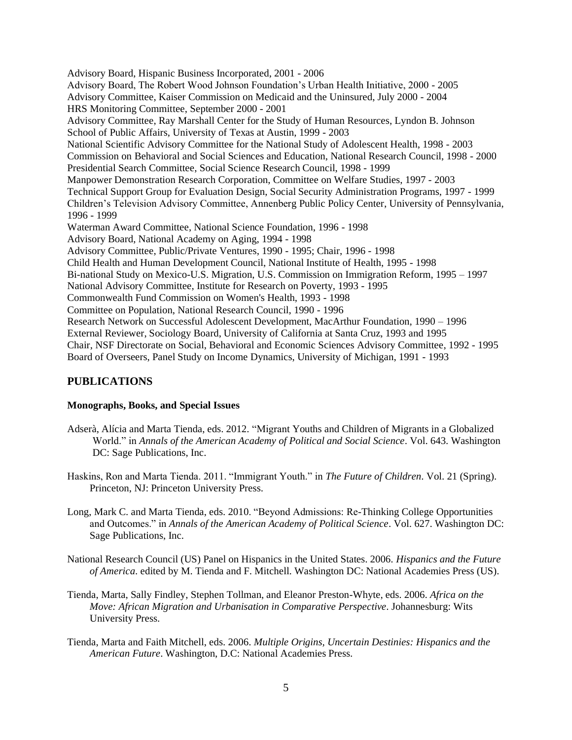Advisory Board, Hispanic Business Incorporated, 2001 - 2006 Advisory Board, The Robert Wood Johnson Foundation's Urban Health Initiative, 2000 - 2005 Advisory Committee, Kaiser Commission on Medicaid and the Uninsured, July 2000 - 2004 HRS Monitoring Committee, September 2000 - 2001 Advisory Committee, Ray Marshall Center for the Study of Human Resources, Lyndon B. Johnson School of Public Affairs, University of Texas at Austin, 1999 - 2003 National Scientific Advisory Committee for the National Study of Adolescent Health, 1998 - 2003 Commission on Behavioral and Social Sciences and Education, National Research Council, 1998 - 2000 Presidential Search Committee, Social Science Research Council, 1998 - 1999 Manpower Demonstration Research Corporation, Committee on Welfare Studies, 1997 - 2003 Technical Support Group for Evaluation Design, Social Security Administration Programs, 1997 - 1999 Children's Television Advisory Committee, Annenberg Public Policy Center, University of Pennsylvania, 1996 - 1999 Waterman Award Committee, National Science Foundation, 1996 - 1998 Advisory Board, National Academy on Aging, 1994 - 1998 Advisory Committee, Public/Private Ventures, 1990 - 1995; Chair, 1996 - 1998 Child Health and Human Development Council, National Institute of Health, 1995 - 1998 Bi-national Study on Mexico-U.S. Migration, U.S. Commission on Immigration Reform, 1995 – 1997 National Advisory Committee, Institute for Research on Poverty, 1993 - 1995 Commonwealth Fund Commission on Women's Health, 1993 - 1998 Committee on Population, National Research Council, 1990 - 1996 Research Network on Successful Adolescent Development, MacArthur Foundation, 1990 – 1996 External Reviewer, Sociology Board, University of California at Santa Cruz, 1993 and 1995 Chair, NSF Directorate on Social, Behavioral and Economic Sciences Advisory Committee, 1992 - 1995 Board of Overseers, Panel Study on Income Dynamics, University of Michigan, 1991 - 1993

## **PUBLICATIONS**

## **Monographs, Books, and Special Issues**

- Adserà, Alícia and Marta Tienda, eds. 2012. "Migrant Youths and Children of Migrants in a Globalized World." in *Annals of the American Academy of Political and Social Science*. Vol. 643. Washington DC: Sage Publications, Inc.
- Haskins, Ron and Marta Tienda. 2011. "Immigrant Youth." in *The Future of Children*. Vol. 21 (Spring). Princeton, NJ: Princeton University Press.
- Long, Mark C. and Marta Tienda, eds. 2010. "Beyond Admissions: Re-Thinking College Opportunities and Outcomes." in *Annals of the American Academy of Political Science*. Vol. 627. Washington DC: Sage Publications, Inc.
- National Research Council (US) Panel on Hispanics in the United States. 2006. *Hispanics and the Future of America*. edited by M. Tienda and F. Mitchell. Washington DC: National Academies Press (US).
- Tienda, Marta, Sally Findley, Stephen Tollman, and Eleanor Preston-Whyte, eds. 2006. *Africa on the Move: African Migration and Urbanisation in Comparative Perspective*. Johannesburg: Wits University Press.
- Tienda, Marta and Faith Mitchell, eds. 2006. *Multiple Origins, Uncertain Destinies: Hispanics and the American Future*. Washington, D.C: National Academies Press.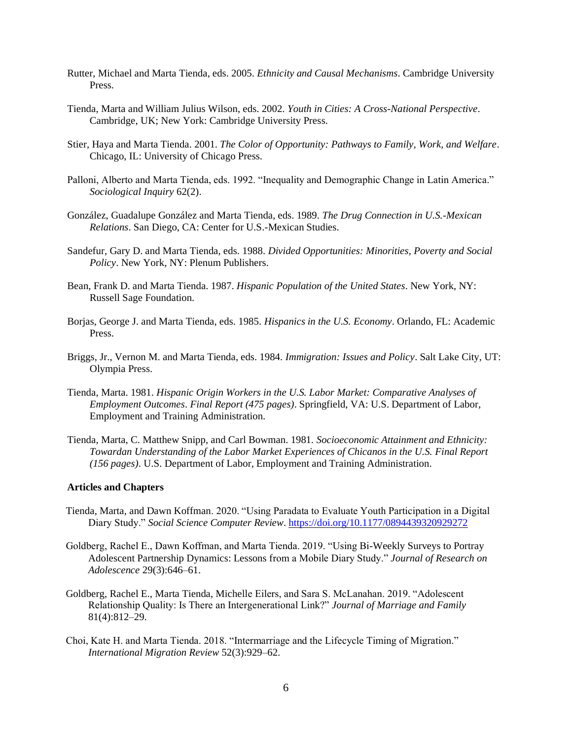- Rutter, Michael and Marta Tienda, eds. 2005. *Ethnicity and Causal Mechanisms*. Cambridge University Press.
- Tienda, Marta and William Julius Wilson, eds. 2002. *Youth in Cities: A Cross-National Perspective*. Cambridge, UK; New York: Cambridge University Press.
- Stier, Haya and Marta Tienda. 2001. *The Color of Opportunity: Pathways to Family, Work, and Welfare*. Chicago, IL: University of Chicago Press.
- Palloni, Alberto and Marta Tienda, eds. 1992. "Inequality and Demographic Change in Latin America." *Sociological Inquiry* 62(2).
- González, Guadalupe González and Marta Tienda, eds. 1989. *The Drug Connection in U.S.-Mexican Relations*. San Diego, CA: Center for U.S.-Mexican Studies.
- Sandefur, Gary D. and Marta Tienda, eds. 1988. *Divided Opportunities: Minorities, Poverty and Social Policy*. New York, NY: Plenum Publishers.
- Bean, Frank D. and Marta Tienda. 1987. *Hispanic Population of the United States*. New York, NY: Russell Sage Foundation.
- Borjas, George J. and Marta Tienda, eds. 1985. *Hispanics in the U.S. Economy*. Orlando, FL: Academic Press.
- Briggs, Jr., Vernon M. and Marta Tienda, eds. 1984. *Immigration: Issues and Policy*. Salt Lake City, UT: Olympia Press.
- Tienda, Marta. 1981. *Hispanic Origin Workers in the U.S. Labor Market: Comparative Analyses of Employment Outcomes*. *Final Report (475 pages)*. Springfield, VA: U.S. Department of Labor, Employment and Training Administration.
- Tienda, Marta, C. Matthew Snipp, and Carl Bowman. 1981. *Socioeconomic Attainment and Ethnicity: Towardan Understanding of the Labor Market Experiences of Chicanos in the U.S. Final Report (156 pages)*. U.S. Department of Labor, Employment and Training Administration.

#### **Articles and Chapters**

- Tienda, Marta, and Dawn Koffman. 2020. "Using Paradata to Evaluate Youth Participation in a Digital Diary Study." *Social Science Computer Review*.<https://doi.org/10.1177/0894439320929272>
- Goldberg, Rachel E., Dawn Koffman, and Marta Tienda. 2019. "Using Bi-Weekly Surveys to Portray Adolescent Partnership Dynamics: Lessons from a Mobile Diary Study." *Journal of Research on Adolescence* 29(3):646–61.
- Goldberg, Rachel E., Marta Tienda, Michelle Eilers, and Sara S. McLanahan. 2019. "Adolescent Relationship Quality: Is There an Intergenerational Link?" *Journal of Marriage and Family* 81(4):812–29.
- Choi, Kate H. and Marta Tienda. 2018. "Intermarriage and the Lifecycle Timing of Migration." *International Migration Review* 52(3):929–62.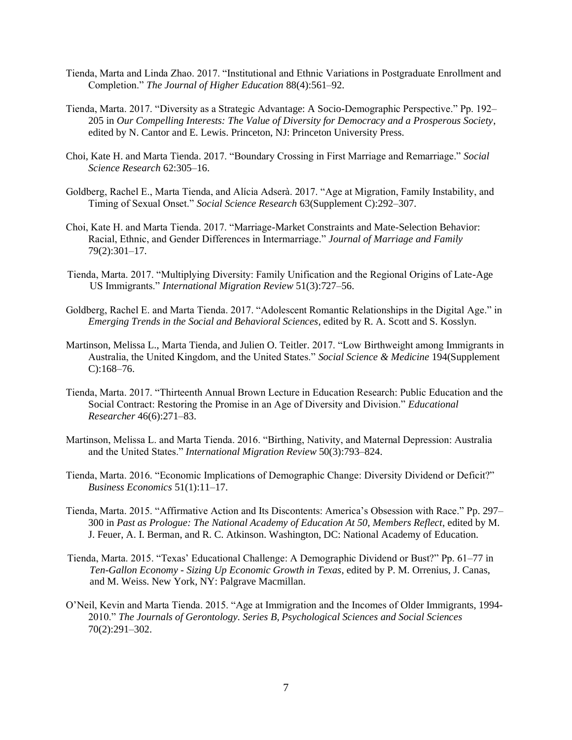- Tienda, Marta and Linda Zhao. 2017. "Institutional and Ethnic Variations in Postgraduate Enrollment and Completion." *The Journal of Higher Education* 88(4):561–92.
- Tienda, Marta. 2017. "Diversity as a Strategic Advantage: A Socio-Demographic Perspective." Pp. 192– 205 in *Our Compelling Interests: The Value of Diversity for Democracy and a Prosperous Society*, edited by N. Cantor and E. Lewis. Princeton, NJ: Princeton University Press.
- Choi, Kate H. and Marta Tienda. 2017. "Boundary Crossing in First Marriage and Remarriage." *Social Science Research* 62:305–16.
- Goldberg, Rachel E., Marta Tienda, and Alícia Adserà. 2017. "Age at Migration, Family Instability, and Timing of Sexual Onset." *Social Science Research* 63(Supplement C):292–307.
- Choi, Kate H. and Marta Tienda. 2017. "Marriage-Market Constraints and Mate-Selection Behavior: Racial, Ethnic, and Gender Differences in Intermarriage." *Journal of Marriage and Family* 79(2):301–17.
- Tienda, Marta. 2017. "Multiplying Diversity: Family Unification and the Regional Origins of Late-Age US Immigrants." *International Migration Review* 51(3):727–56.
- Goldberg, Rachel E. and Marta Tienda. 2017. "Adolescent Romantic Relationships in the Digital Age." in *Emerging Trends in the Social and Behavioral Sciences*, edited by R. A. Scott and S. Kosslyn.
- Martinson, Melissa L., Marta Tienda, and Julien O. Teitler. 2017. "Low Birthweight among Immigrants in Australia, the United Kingdom, and the United States." *Social Science & Medicine* 194(Supplement C):168–76.
- Tienda, Marta. 2017. "Thirteenth Annual Brown Lecture in Education Research: Public Education and the Social Contract: Restoring the Promise in an Age of Diversity and Division." *Educational Researcher* 46(6):271–83.
- Martinson, Melissa L. and Marta Tienda. 2016. "Birthing, Nativity, and Maternal Depression: Australia and the United States." *International Migration Review* 50(3):793–824.
- Tienda, Marta. 2016. "Economic Implications of Demographic Change: Diversity Dividend or Deficit?" *Business Economics* 51(1):11–17.
- Tienda, Marta. 2015. "Affirmative Action and Its Discontents: America's Obsession with Race." Pp. 297– 300 in *Past as Prologue: The National Academy of Education At 50, Members Reflect*, edited by M. J. Feuer, A. I. Berman, and R. C. Atkinson. Washington, DC: National Academy of Education.
- Tienda, Marta. 2015. "Texas' Educational Challenge: A Demographic Dividend or Bust?" Pp. 61–77 in *Ten-Gallon Economy - Sizing Up Economic Growth in Texas*, edited by P. M. Orrenius, J. Canas, and M. Weiss. New York, NY: Palgrave Macmillan.
- O'Neil, Kevin and Marta Tienda. 2015. "Age at Immigration and the Incomes of Older Immigrants, 1994- 2010." *The Journals of Gerontology. Series B, Psychological Sciences and Social Sciences* 70(2):291–302.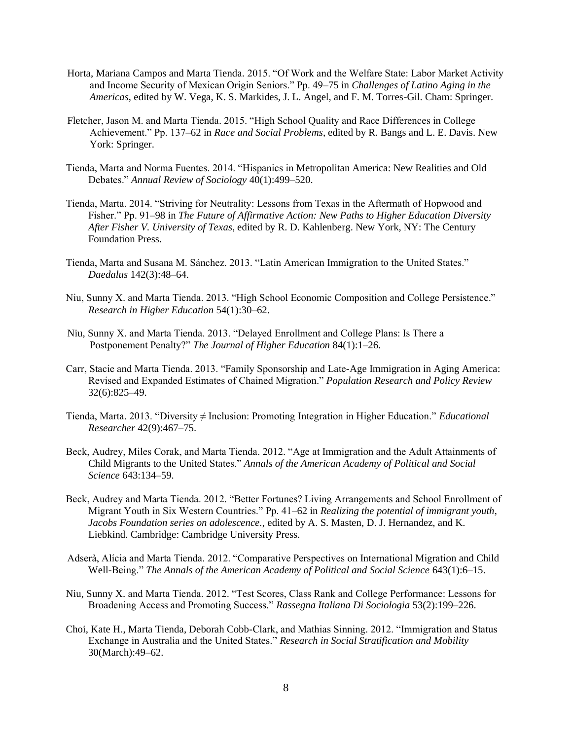- Horta, Mariana Campos and Marta Tienda. 2015. "Of Work and the Welfare State: Labor Market Activity and Income Security of Mexican Origin Seniors." Pp. 49–75 in *Challenges of Latino Aging in the Americas*, edited by W. Vega, K. S. Markides, J. L. Angel, and F. M. Torres-Gil. Cham: Springer.
- Fletcher, Jason M. and Marta Tienda. 2015. "High School Quality and Race Differences in College Achievement." Pp. 137–62 in *Race and Social Problems*, edited by R. Bangs and L. E. Davis. New York: Springer.
- Tienda, Marta and Norma Fuentes. 2014. "Hispanics in Metropolitan America: New Realities and Old Debates." *Annual Review of Sociology* 40(1):499–520.
- Tienda, Marta. 2014. "Striving for Neutrality: Lessons from Texas in the Aftermath of Hopwood and Fisher." Pp. 91–98 in *The Future of Affirmative Action: New Paths to Higher Education Diversity After Fisher V. University of Texas*, edited by R. D. Kahlenberg. New York, NY: The Century Foundation Press.
- Tienda, Marta and Susana M. Sánchez. 2013. "Latin American Immigration to the United States." *Daedalus* 142(3):48–64.
- Niu, Sunny X. and Marta Tienda. 2013. "High School Economic Composition and College Persistence." *Research in Higher Education* 54(1):30–62.
- Niu, Sunny X. and Marta Tienda. 2013. "Delayed Enrollment and College Plans: Is There a Postponement Penalty?" *The Journal of Higher Education* 84(1):1–26.
- Carr, Stacie and Marta Tienda. 2013. "Family Sponsorship and Late-Age Immigration in Aging America: Revised and Expanded Estimates of Chained Migration." *Population Research and Policy Review* 32(6):825–49.
- Tienda, Marta. 2013. "Diversity ≠ Inclusion: Promoting Integration in Higher Education." *Educational Researcher* 42(9):467–75.
- Beck, Audrey, Miles Corak, and Marta Tienda. 2012. "Age at Immigration and the Adult Attainments of Child Migrants to the United States." *Annals of the American Academy of Political and Social Science* 643:134–59.
- Beck, Audrey and Marta Tienda. 2012. "Better Fortunes? Living Arrangements and School Enrollment of Migrant Youth in Six Western Countries." Pp. 41–62 in *Realizing the potential of immigrant youth*, *Jacobs Foundation series on adolescence.*, edited by A. S. Masten, D. J. Hernandez, and K. Liebkind. Cambridge: Cambridge University Press.
- Adserà, Alícia and Marta Tienda. 2012. "Comparative Perspectives on International Migration and Child Well-Being." *The Annals of the American Academy of Political and Social Science* 643(1):6–15.
- Niu, Sunny X. and Marta Tienda. 2012. "Test Scores, Class Rank and College Performance: Lessons for Broadening Access and Promoting Success." *Rassegna Italiana Di Sociologia* 53(2):199–226.
- Choi, Kate H., Marta Tienda, Deborah Cobb-Clark, and Mathias Sinning. 2012. "Immigration and Status Exchange in Australia and the United States." *Research in Social Stratification and Mobility* 30(March):49–62.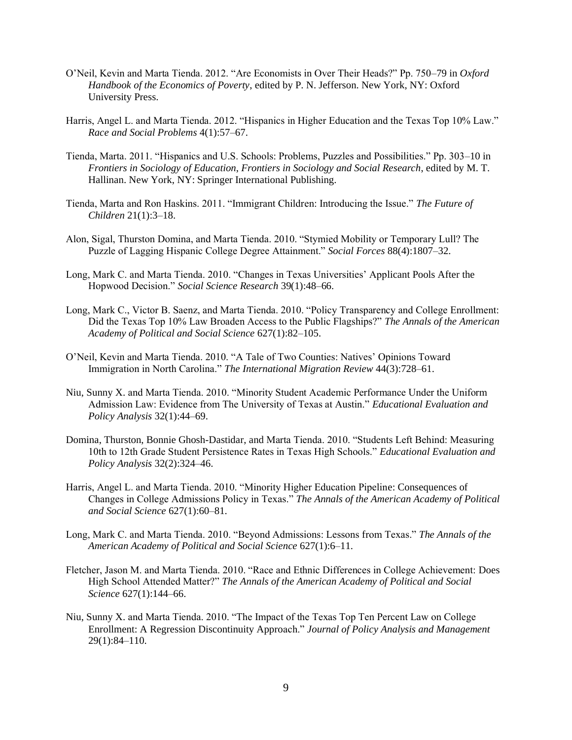- O'Neil, Kevin and Marta Tienda. 2012. "Are Economists in Over Their Heads?" Pp. 750–79 in *Oxford Handbook of the Economics of Poverty*, edited by P. N. Jefferson. New York, NY: Oxford University Press.
- Harris, Angel L. and Marta Tienda. 2012. "Hispanics in Higher Education and the Texas Top 10% Law." *Race and Social Problems* 4(1):57–67.
- Tienda, Marta. 2011. "Hispanics and U.S. Schools: Problems, Puzzles and Possibilities." Pp. 303–10 in *Frontiers in Sociology of Education*, *Frontiers in Sociology and Social Research*, edited by M. T. Hallinan. New York, NY: Springer International Publishing.
- Tienda, Marta and Ron Haskins. 2011. "Immigrant Children: Introducing the Issue." *The Future of Children* 21(1):3–18.
- Alon, Sigal, Thurston Domina, and Marta Tienda. 2010. "Stymied Mobility or Temporary Lull? The Puzzle of Lagging Hispanic College Degree Attainment." *Social Forces* 88(4):1807–32.
- Long, Mark C. and Marta Tienda. 2010. "Changes in Texas Universities' Applicant Pools After the Hopwood Decision." *Social Science Research* 39(1):48–66.
- Long, Mark C., Victor B. Saenz, and Marta Tienda. 2010. "Policy Transparency and College Enrollment: Did the Texas Top 10% Law Broaden Access to the Public Flagships?" *The Annals of the American Academy of Political and Social Science* 627(1):82–105.
- O'Neil, Kevin and Marta Tienda. 2010. "A Tale of Two Counties: Natives' Opinions Toward Immigration in North Carolina." *The International Migration Review* 44(3):728–61.
- Niu, Sunny X. and Marta Tienda. 2010. "Minority Student Academic Performance Under the Uniform Admission Law: Evidence from The University of Texas at Austin." *Educational Evaluation and Policy Analysis* 32(1):44–69.
- Domina, Thurston, Bonnie Ghosh-Dastidar, and Marta Tienda. 2010. "Students Left Behind: Measuring 10th to 12th Grade Student Persistence Rates in Texas High Schools." *Educational Evaluation and Policy Analysis* 32(2):324–46.
- Harris, Angel L. and Marta Tienda. 2010. "Minority Higher Education Pipeline: Consequences of Changes in College Admissions Policy in Texas." *The Annals of the American Academy of Political and Social Science* 627(1):60–81.
- Long, Mark C. and Marta Tienda. 2010. "Beyond Admissions: Lessons from Texas." *The Annals of the American Academy of Political and Social Science* 627(1):6–11.
- Fletcher, Jason M. and Marta Tienda. 2010. "Race and Ethnic Differences in College Achievement: Does High School Attended Matter?" *The Annals of the American Academy of Political and Social Science* 627(1):144–66.
- Niu, Sunny X. and Marta Tienda. 2010. "The Impact of the Texas Top Ten Percent Law on College Enrollment: A Regression Discontinuity Approach." *Journal of Policy Analysis and Management* 29(1):84–110.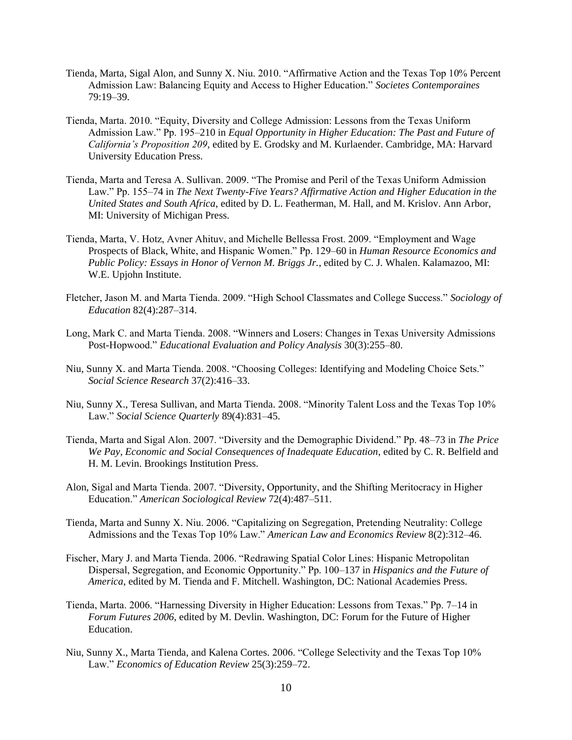- Tienda, Marta, Sigal Alon, and Sunny X. Niu. 2010. "Affirmative Action and the Texas Top 10% Percent Admission Law: Balancing Equity and Access to Higher Education." *Societes Contemporaines* 79:19–39.
- Tienda, Marta. 2010. "Equity, Diversity and College Admission: Lessons from the Texas Uniform Admission Law." Pp. 195–210 in *Equal Opportunity in Higher Education: The Past and Future of California's Proposition 209*, edited by E. Grodsky and M. Kurlaender. Cambridge, MA: Harvard University Education Press.
- Tienda, Marta and Teresa A. Sullivan. 2009. "The Promise and Peril of the Texas Uniform Admission Law." Pp. 155–74 in *The Next Twenty-Five Years? Affirmative Action and Higher Education in the United States and South Africa*, edited by D. L. Featherman, M. Hall, and M. Krislov. Ann Arbor, MI: University of Michigan Press.
- Tienda, Marta, V. Hotz, Avner Ahituv, and Michelle Bellessa Frost. 2009. "Employment and Wage Prospects of Black, White, and Hispanic Women." Pp. 129–60 in *Human Resource Economics and Public Policy: Essays in Honor of Vernon M. Briggs Jr.*, edited by C. J. Whalen. Kalamazoo, MI: W.E. Upjohn Institute.
- Fletcher, Jason M. and Marta Tienda. 2009. "High School Classmates and College Success." *Sociology of Education* 82(4):287–314.
- Long, Mark C. and Marta Tienda. 2008. "Winners and Losers: Changes in Texas University Admissions Post-Hopwood." *Educational Evaluation and Policy Analysis* 30(3):255–80.
- Niu, Sunny X. and Marta Tienda. 2008. "Choosing Colleges: Identifying and Modeling Choice Sets." *Social Science Research* 37(2):416–33.
- Niu, Sunny X., Teresa Sullivan, and Marta Tienda. 2008. "Minority Talent Loss and the Texas Top 10% Law." *Social Science Quarterly* 89(4):831–45.
- Tienda, Marta and Sigal Alon. 2007. "Diversity and the Demographic Dividend." Pp. 48–73 in *The Price We Pay*, *Economic and Social Consequences of Inadequate Education*, edited by C. R. Belfield and H. M. Levin. Brookings Institution Press.
- Alon, Sigal and Marta Tienda. 2007. "Diversity, Opportunity, and the Shifting Meritocracy in Higher Education." *American Sociological Review* 72(4):487–511.
- Tienda, Marta and Sunny X. Niu. 2006. "Capitalizing on Segregation, Pretending Neutrality: College Admissions and the Texas Top 10% Law." *American Law and Economics Review* 8(2):312–46.
- Fischer, Mary J. and Marta Tienda. 2006. "Redrawing Spatial Color Lines: Hispanic Metropolitan Dispersal, Segregation, and Economic Opportunity." Pp. 100–137 in *Hispanics and the Future of America*, edited by M. Tienda and F. Mitchell. Washington, DC: National Academies Press.
- Tienda, Marta. 2006. "Harnessing Diversity in Higher Education: Lessons from Texas." Pp. 7–14 in *Forum Futures 2006*, edited by M. Devlin. Washington, DC: Forum for the Future of Higher Education.
- Niu, Sunny X., Marta Tienda, and Kalena Cortes. 2006. "College Selectivity and the Texas Top 10% Law." *Economics of Education Review* 25(3):259–72.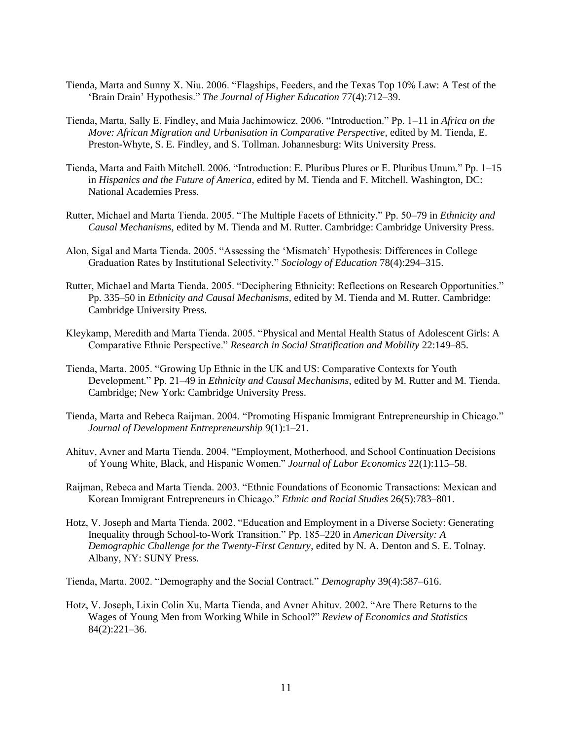- Tienda, Marta and Sunny X. Niu. 2006. "Flagships, Feeders, and the Texas Top 10% Law: A Test of the 'Brain Drain' Hypothesis." *The Journal of Higher Education* 77(4):712–39.
- Tienda, Marta, Sally E. Findley, and Maia Jachimowicz. 2006. "Introduction." Pp. 1–11 in *Africa on the Move: African Migration and Urbanisation in Comparative Perspective*, edited by M. Tienda, E. Preston-Whyte, S. E. Findley, and S. Tollman. Johannesburg: Wits University Press.
- Tienda, Marta and Faith Mitchell. 2006. "Introduction: E. Pluribus Plures or E. Pluribus Unum." Pp. 1–15 in *Hispanics and the Future of America*, edited by M. Tienda and F. Mitchell. Washington, DC: National Academies Press.
- Rutter, Michael and Marta Tienda. 2005. "The Multiple Facets of Ethnicity." Pp. 50–79 in *Ethnicity and Causal Mechanisms*, edited by M. Tienda and M. Rutter. Cambridge: Cambridge University Press.
- Alon, Sigal and Marta Tienda. 2005. "Assessing the 'Mismatch' Hypothesis: Differences in College Graduation Rates by Institutional Selectivity." *Sociology of Education* 78(4):294–315.
- Rutter, Michael and Marta Tienda. 2005. "Deciphering Ethnicity: Reflections on Research Opportunities." Pp. 335–50 in *Ethnicity and Causal Mechanisms*, edited by M. Tienda and M. Rutter. Cambridge: Cambridge University Press.
- Kleykamp, Meredith and Marta Tienda. 2005. "Physical and Mental Health Status of Adolescent Girls: A Comparative Ethnic Perspective." *Research in Social Stratification and Mobility* 22:149–85.
- Tienda, Marta. 2005. "Growing Up Ethnic in the UK and US: Comparative Contexts for Youth Development." Pp. 21–49 in *Ethnicity and Causal Mechanisms*, edited by M. Rutter and M. Tienda. Cambridge; New York: Cambridge University Press.
- Tienda, Marta and Rebeca Raijman. 2004. "Promoting Hispanic Immigrant Entrepreneurship in Chicago." *Journal of Development Entrepreneurship* 9(1):1–21.
- Ahituv, Avner and Marta Tienda. 2004. "Employment, Motherhood, and School Continuation Decisions of Young White, Black, and Hispanic Women." *Journal of Labor Economics* 22(1):115–58.
- Raijman, Rebeca and Marta Tienda. 2003. "Ethnic Foundations of Economic Transactions: Mexican and Korean Immigrant Entrepreneurs in Chicago." *Ethnic and Racial Studies* 26(5):783–801.
- Hotz, V. Joseph and Marta Tienda. 2002. "Education and Employment in a Diverse Society: Generating Inequality through School-to-Work Transition." Pp. 185–220 in *American Diversity: A Demographic Challenge for the Twenty-First Century*, edited by N. A. Denton and S. E. Tolnay. Albany, NY: SUNY Press.
- Tienda, Marta. 2002. "Demography and the Social Contract." *Demography* 39(4):587–616.
- Hotz, V. Joseph, Lixin Colin Xu, Marta Tienda, and Avner Ahituv. 2002. "Are There Returns to the Wages of Young Men from Working While in School?" *Review of Economics and Statistics* 84(2):221–36.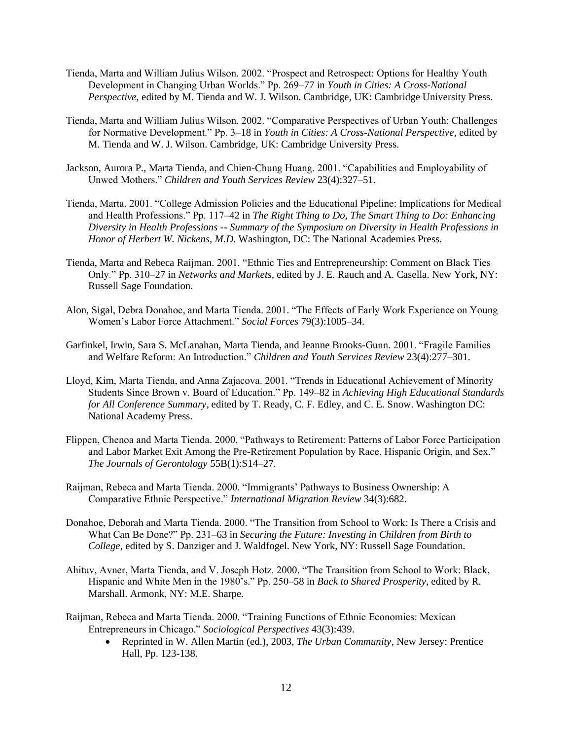- Tienda, Marta and William Julius Wilson. 2002. "Prospect and Retrospect: Options for Healthy Youth Development in Changing Urban Worlds." Pp. 269–77 in *Youth in Cities: A Cross-National Perspective*, edited by M. Tienda and W. J. Wilson. Cambridge, UK: Cambridge University Press.
- Tienda, Marta and William Julius Wilson. 2002. "Comparative Perspectives of Urban Youth: Challenges for Normative Development." Pp. 3–18 in *Youth in Cities: A Cross-National Perspective*, edited by M. Tienda and W. J. Wilson. Cambridge, UK: Cambridge University Press.
- Jackson, Aurora P., Marta Tienda, and Chien-Chung Huang. 2001. "Capabilities and Employability of Unwed Mothers." *Children and Youth Services Review* 23(4):327–51.
- Tienda, Marta. 2001. "College Admission Policies and the Educational Pipeline: Implications for Medical and Health Professions." Pp. 117–42 in *The Right Thing to Do, The Smart Thing to Do: Enhancing Diversity in Health Professions -- Summary of the Symposium on Diversity in Health Professions in Honor of Herbert W. Nickens, M.D.* Washington, DC: The National Academies Press.
- Tienda, Marta and Rebeca Raijman. 2001. "Ethnic Ties and Entrepreneurship: Comment on Black Ties Only." Pp. 310–27 in *Networks and Markets*, edited by J. E. Rauch and A. Casella. New York, NY: Russell Sage Foundation.
- Alon, Sigal, Debra Donahoe, and Marta Tienda. 2001. "The Effects of Early Work Experience on Young Women's Labor Force Attachment." *Social Forces* 79(3):1005–34.
- Garfinkel, Irwin, Sara S. McLanahan, Marta Tienda, and Jeanne Brooks-Gunn. 2001. "Fragile Families and Welfare Reform: An Introduction." *Children and Youth Services Review* 23(4):277–301.
- Lloyd, Kim, Marta Tienda, and Anna Zajacova. 2001. "Trends in Educational Achievement of Minority Students Since Brown v. Board of Education." Pp. 149–82 in *Achieving High Educational Standards for All Conference Summary*, edited by T. Ready, C. F. Edley, and C. E. Snow. Washington DC: National Academy Press.
- Flippen, Chenoa and Marta Tienda. 2000. "Pathways to Retirement: Patterns of Labor Force Participation and Labor Market Exit Among the Pre-Retirement Population by Race, Hispanic Origin, and Sex." *The Journals of Gerontology* 55B(1):S14–27.
- Raijman, Rebeca and Marta Tienda. 2000. "Immigrants' Pathways to Business Ownership: A Comparative Ethnic Perspective." *International Migration Review* 34(3):682.
- Donahoe, Deborah and Marta Tienda. 2000. "The Transition from School to Work: Is There a Crisis and What Can Be Done?" Pp. 231–63 in *Securing the Future: Investing in Children from Birth to College*, edited by S. Danziger and J. Waldfogel. New York, NY: Russell Sage Foundation.
- Ahituv, Avner, Marta Tienda, and V. Joseph Hotz. 2000. "The Transition from School to Work: Black, Hispanic and White Men in the 1980's." Pp. 250–58 in *Back to Shared Prosperity*, edited by R. Marshall. Armonk, NY: M.E. Sharpe.
- Raijman, Rebeca and Marta Tienda. 2000. "Training Functions of Ethnic Economies: Mexican Entrepreneurs in Chicago." *Sociological Perspectives* 43(3):439.
	- Reprinted in W. Allen Martin (ed.), 2003, *The Urban Community*, New Jersey: Prentice Hall, Pp. 123-138.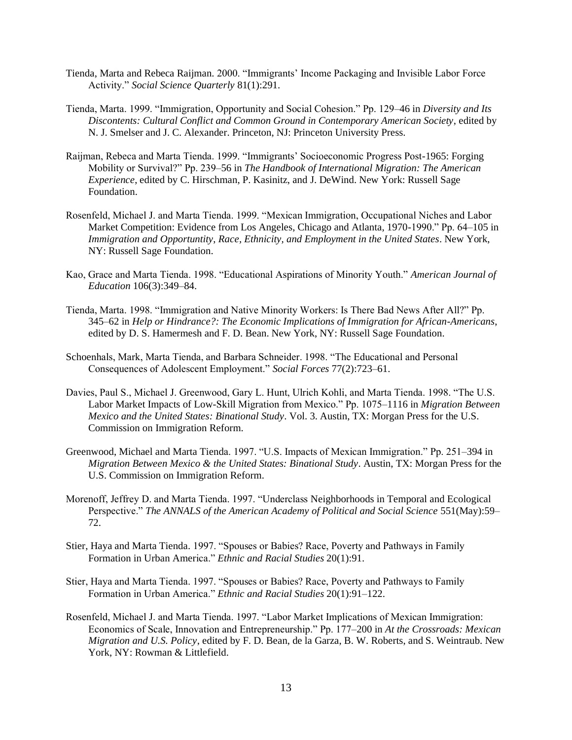- Tienda, Marta and Rebeca Raijman. 2000. "Immigrants' Income Packaging and Invisible Labor Force Activity." *Social Science Quarterly* 81(1):291.
- Tienda, Marta. 1999. "Immigration, Opportunity and Social Cohesion." Pp. 129–46 in *Diversity and Its Discontents: Cultural Conflict and Common Ground in Contemporary American Society*, edited by N. J. Smelser and J. C. Alexander. Princeton, NJ: Princeton University Press.
- Raijman, Rebeca and Marta Tienda. 1999. "Immigrants' Socioeconomic Progress Post-1965: Forging Mobility or Survival?" Pp. 239–56 in *The Handbook of International Migration: The American Experience*, edited by C. Hirschman, P. Kasinitz, and J. DeWind. New York: Russell Sage Foundation.
- Rosenfeld, Michael J. and Marta Tienda. 1999. "Mexican Immigration, Occupational Niches and Labor Market Competition: Evidence from Los Angeles, Chicago and Atlanta, 1970-1990." Pp. 64–105 in *Immigration and Opportuntity*, *Race, Ethnicity, and Employment in the United States*. New York, NY: Russell Sage Foundation.
- Kao, Grace and Marta Tienda. 1998. "Educational Aspirations of Minority Youth." *American Journal of Education* 106(3):349–84.
- Tienda, Marta. 1998. "Immigration and Native Minority Workers: Is There Bad News After All?" Pp. 345–62 in *Help or Hindrance?: The Economic Implications of Immigration for African-Americans*, edited by D. S. Hamermesh and F. D. Bean. New York, NY: Russell Sage Foundation.
- Schoenhals, Mark, Marta Tienda, and Barbara Schneider. 1998. "The Educational and Personal Consequences of Adolescent Employment." *Social Forces* 77(2):723–61.
- Davies, Paul S., Michael J. Greenwood, Gary L. Hunt, Ulrich Kohli, and Marta Tienda. 1998. "The U.S. Labor Market Impacts of Low-Skill Migration from Mexico." Pp. 1075–1116 in *Migration Between Mexico and the United States: Binational Study*. Vol. 3. Austin, TX: Morgan Press for the U.S. Commission on Immigration Reform.
- Greenwood, Michael and Marta Tienda. 1997. "U.S. Impacts of Mexican Immigration." Pp. 251–394 in *Migration Between Mexico & the United States: Binational Study*. Austin, TX: Morgan Press for the U.S. Commission on Immigration Reform.
- Morenoff, Jeffrey D. and Marta Tienda. 1997. "Underclass Neighborhoods in Temporal and Ecological Perspective." *The ANNALS of the American Academy of Political and Social Science* 551(May):59– 72.
- Stier, Haya and Marta Tienda. 1997. "Spouses or Babies? Race, Poverty and Pathways in Family Formation in Urban America." *Ethnic and Racial Studies* 20(1):91.
- Stier, Haya and Marta Tienda. 1997. "Spouses or Babies? Race, Poverty and Pathways to Family Formation in Urban America." *Ethnic and Racial Studies* 20(1):91–122.
- Rosenfeld, Michael J. and Marta Tienda. 1997. "Labor Market Implications of Mexican Immigration: Economics of Scale, Innovation and Entrepreneurship." Pp. 177–200 in *At the Crossroads: Mexican Migration and U.S. Policy*, edited by F. D. Bean, de la Garza, B. W. Roberts, and S. Weintraub. New York, NY: Rowman & Littlefield.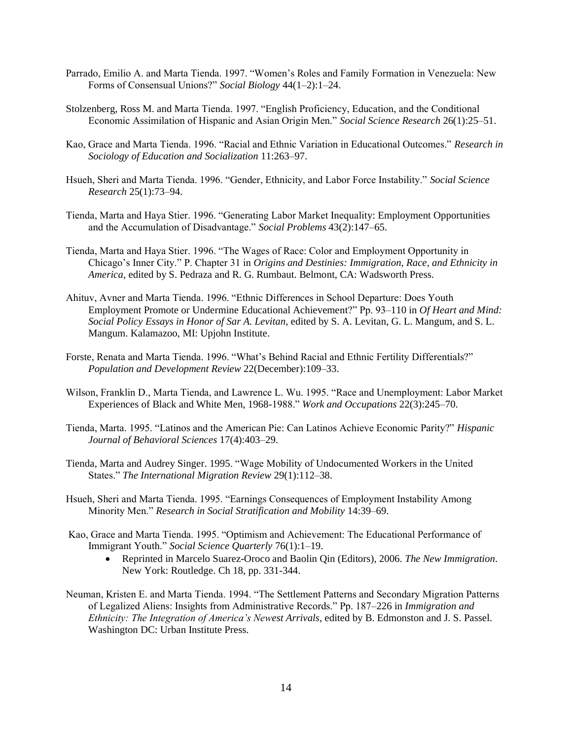- Parrado, Emilio A. and Marta Tienda. 1997. "Women's Roles and Family Formation in Venezuela: New Forms of Consensual Unions?" *Social Biology* 44(1–2):1–24.
- Stolzenberg, Ross M. and Marta Tienda. 1997. "English Proficiency, Education, and the Conditional Economic Assimilation of Hispanic and Asian Origin Men." *Social Science Research* 26(1):25–51.
- Kao, Grace and Marta Tienda. 1996. "Racial and Ethnic Variation in Educational Outcomes." *Research in Sociology of Education and Socialization* 11:263–97.
- Hsueh, Sheri and Marta Tienda. 1996. "Gender, Ethnicity, and Labor Force Instability." *Social Science Research* 25(1):73–94.
- Tienda, Marta and Haya Stier. 1996. "Generating Labor Market Inequality: Employment Opportunities and the Accumulation of Disadvantage." *Social Problems* 43(2):147–65.
- Tienda, Marta and Haya Stier. 1996. "The Wages of Race: Color and Employment Opportunity in Chicago's Inner City." P. Chapter 31 in *Origins and Destinies: Immigration, Race, and Ethnicity in America*, edited by S. Pedraza and R. G. Rumbaut. Belmont, CA: Wadsworth Press.
- Ahituv, Avner and Marta Tienda. 1996. "Ethnic Differences in School Departure: Does Youth Employment Promote or Undermine Educational Achievement?" Pp. 93–110 in *Of Heart and Mind: Social Policy Essays in Honor of Sar A. Levitan*, edited by S. A. Levitan, G. L. Mangum, and S. L. Mangum. Kalamazoo, MI: Upjohn Institute.
- Forste, Renata and Marta Tienda. 1996. "What's Behind Racial and Ethnic Fertility Differentials?" *Population and Development Review* 22(December):109–33.
- Wilson, Franklin D., Marta Tienda, and Lawrence L. Wu. 1995. "Race and Unemployment: Labor Market Experiences of Black and White Men, 1968-1988." *Work and Occupations* 22(3):245–70.
- Tienda, Marta. 1995. "Latinos and the American Pie: Can Latinos Achieve Economic Parity?" *Hispanic Journal of Behavioral Sciences* 17(4):403–29.
- Tienda, Marta and Audrey Singer. 1995. "Wage Mobility of Undocumented Workers in the United States." *The International Migration Review* 29(1):112–38.
- Hsueh, Sheri and Marta Tienda. 1995. "Earnings Consequences of Employment Instability Among Minority Men." *Research in Social Stratification and Mobility* 14:39–69.
- Kao, Grace and Marta Tienda. 1995. "Optimism and Achievement: The Educational Performance of Immigrant Youth." *Social Science Quarterly* 76(1):1–19.
	- Reprinted in Marcelo Suarez-Oroco and Baolin Qin (Editors), 2006. *The New Immigration*. New York: Routledge. Ch 18, pp. 331-344.
- Neuman, Kristen E. and Marta Tienda. 1994. "The Settlement Patterns and Secondary Migration Patterns of Legalized Aliens: Insights from Administrative Records." Pp. 187–226 in *Immigration and Ethnicity: The Integration of America's Newest Arrivals*, edited by B. Edmonston and J. S. Passel. Washington DC: Urban Institute Press.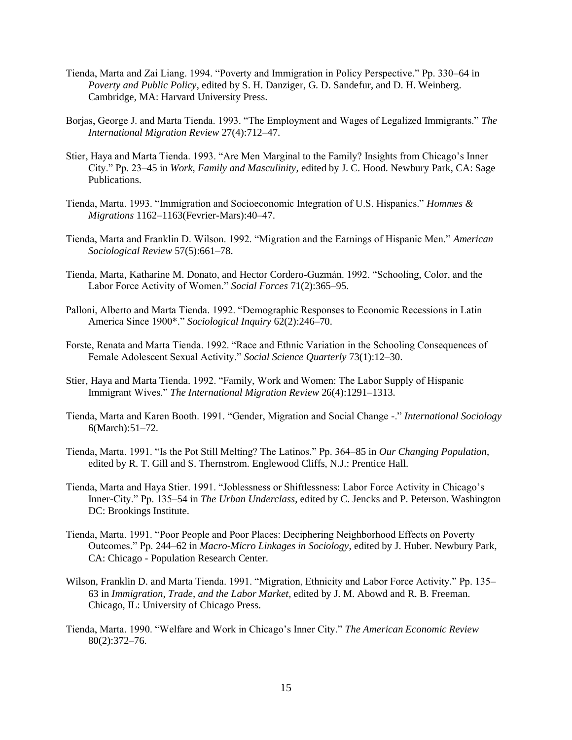- Tienda, Marta and Zai Liang. 1994. "Poverty and Immigration in Policy Perspective." Pp. 330–64 in *Poverty and Public Policy*, edited by S. H. Danziger, G. D. Sandefur, and D. H. Weinberg. Cambridge, MA: Harvard University Press.
- Borjas, George J. and Marta Tienda. 1993. "The Employment and Wages of Legalized Immigrants." *The International Migration Review* 27(4):712–47.
- Stier, Haya and Marta Tienda. 1993. "Are Men Marginal to the Family? Insights from Chicago's Inner City." Pp. 23–45 in *Work, Family and Masculinity*, edited by J. C. Hood. Newbury Park, CA: Sage Publications.
- Tienda, Marta. 1993. "Immigration and Socioeconomic Integration of U.S. Hispanics." *Hommes & Migrations* 1162–1163(Fevrier-Mars):40–47.
- Tienda, Marta and Franklin D. Wilson. 1992. "Migration and the Earnings of Hispanic Men." *American Sociological Review* 57(5):661–78.
- Tienda, Marta, Katharine M. Donato, and Hector Cordero-Guzmán. 1992. "Schooling, Color, and the Labor Force Activity of Women." *Social Forces* 71(2):365–95.
- Palloni, Alberto and Marta Tienda. 1992. "Demographic Responses to Economic Recessions in Latin America Since 1900\*." *Sociological Inquiry* 62(2):246–70.
- Forste, Renata and Marta Tienda. 1992. "Race and Ethnic Variation in the Schooling Consequences of Female Adolescent Sexual Activity." *Social Science Quarterly* 73(1):12–30.
- Stier, Haya and Marta Tienda. 1992. "Family, Work and Women: The Labor Supply of Hispanic Immigrant Wives." *The International Migration Review* 26(4):1291–1313.
- Tienda, Marta and Karen Booth. 1991. "Gender, Migration and Social Change -." *International Sociology* 6(March):51–72.
- Tienda, Marta. 1991. "Is the Pot Still Melting? The Latinos." Pp. 364–85 in *Our Changing Population*, edited by R. T. Gill and S. Thernstrom. Englewood Cliffs, N.J.: Prentice Hall.
- Tienda, Marta and Haya Stier. 1991. "Joblessness or Shiftlessness: Labor Force Activity in Chicago's Inner-City." Pp. 135–54 in *The Urban Underclass*, edited by C. Jencks and P. Peterson. Washington DC: Brookings Institute.
- Tienda, Marta. 1991. "Poor People and Poor Places: Deciphering Neighborhood Effects on Poverty Outcomes." Pp. 244–62 in *Macro-Micro Linkages in Sociology*, edited by J. Huber. Newbury Park, CA: Chicago - Population Research Center.
- Wilson, Franklin D. and Marta Tienda. 1991. "Migration, Ethnicity and Labor Force Activity." Pp. 135– 63 in *Immigration, Trade, and the Labor Market*, edited by J. M. Abowd and R. B. Freeman. Chicago, IL: University of Chicago Press.
- Tienda, Marta. 1990. "Welfare and Work in Chicago's Inner City." *The American Economic Review* 80(2):372–76.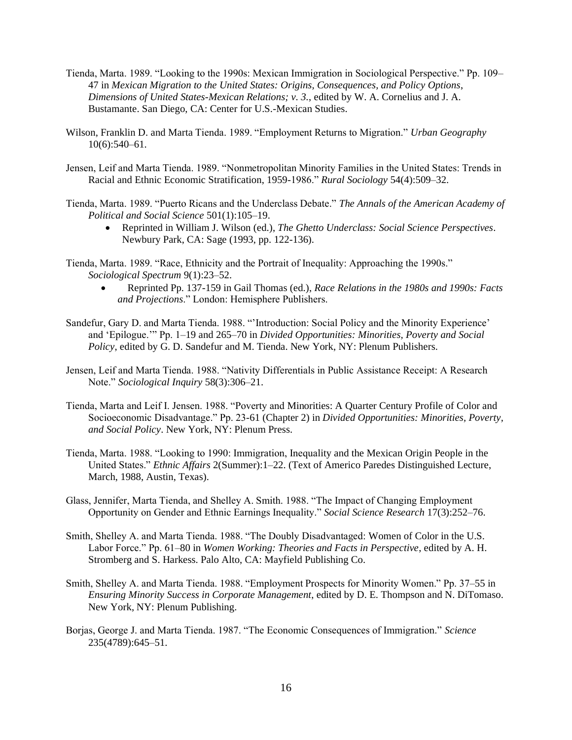- Tienda, Marta. 1989. "Looking to the 1990s: Mexican Immigration in Sociological Perspective." Pp. 109– 47 in *Mexican Migration to the United States: Origins, Consequences, and Policy Options*, *Dimensions of United States-Mexican Relations; v. 3.*, edited by W. A. Cornelius and J. A. Bustamante. San Diego, CA: Center for U.S.-Mexican Studies.
- Wilson, Franklin D. and Marta Tienda. 1989. "Employment Returns to Migration." *Urban Geography* 10(6):540–61.
- Jensen, Leif and Marta Tienda. 1989. "Nonmetropolitan Minority Families in the United States: Trends in Racial and Ethnic Economic Stratification, 1959-1986." *Rural Sociology* 54(4):509–32.
- Tienda, Marta. 1989. "Puerto Ricans and the Underclass Debate." *The Annals of the American Academy of Political and Social Science* 501(1):105–19.
	- Reprinted in William J. Wilson (ed.), *The Ghetto Underclass: Social Science Perspectives*. Newbury Park, CA: Sage (1993, pp. 122-136).
- Tienda, Marta. 1989. "Race, Ethnicity and the Portrait of Inequality: Approaching the 1990s." *Sociological Spectrum* 9(1):23–52.
	- Reprinted Pp. 137-159 in Gail Thomas (ed.), *Race Relations in the 1980s and 1990s: Facts and Projections*." London: Hemisphere Publishers.
- Sandefur, Gary D. and Marta Tienda. 1988. "'Introduction: Social Policy and the Minority Experience' and 'Epilogue.'" Pp. 1–19 and 265–70 in *Divided Opportunities: Minorities, Poverty and Social Policy*, edited by G. D. Sandefur and M. Tienda. New York, NY: Plenum Publishers.
- Jensen, Leif and Marta Tienda. 1988. "Nativity Differentials in Public Assistance Receipt: A Research Note." *Sociological Inquiry* 58(3):306–21.
- Tienda, Marta and Leif I. Jensen. 1988. "Poverty and Minorities: A Quarter Century Profile of Color and Socioeconomic Disadvantage." Pp. 23-61 (Chapter 2) in *Divided Opportunities: Minorities, Poverty, and Social Policy*. New York, NY: Plenum Press.
- Tienda, Marta. 1988. "Looking to 1990: Immigration, Inequality and the Mexican Origin People in the United States." *Ethnic Affairs* 2(Summer):1–22. (Text of Americo Paredes Distinguished Lecture, March, 1988, Austin, Texas).
- Glass, Jennifer, Marta Tienda, and Shelley A. Smith. 1988. "The Impact of Changing Employment Opportunity on Gender and Ethnic Earnings Inequality." *Social Science Research* 17(3):252–76.
- Smith, Shelley A. and Marta Tienda. 1988. "The Doubly Disadvantaged: Women of Color in the U.S. Labor Force." Pp. 61–80 in *Women Working: Theories and Facts in Perspective*, edited by A. H. Stromberg and S. Harkess. Palo Alto, CA: Mayfield Publishing Co.
- Smith, Shelley A. and Marta Tienda. 1988. "Employment Prospects for Minority Women." Pp. 37–55 in *Ensuring Minority Success in Corporate Management*, edited by D. E. Thompson and N. DiTomaso. New York, NY: Plenum Publishing.
- Borjas, George J. and Marta Tienda. 1987. "The Economic Consequences of Immigration." *Science* 235(4789):645–51.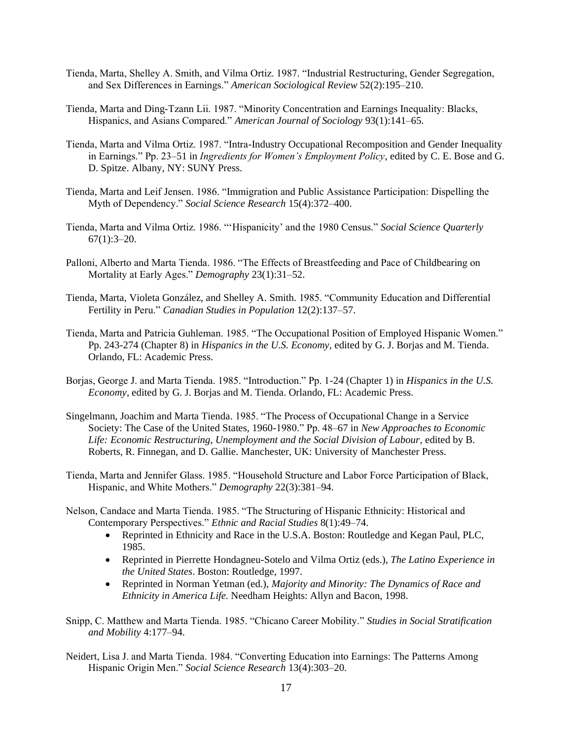- Tienda, Marta, Shelley A. Smith, and Vilma Ortiz. 1987. "Industrial Restructuring, Gender Segregation, and Sex Differences in Earnings." *American Sociological Review* 52(2):195–210.
- Tienda, Marta and Ding-Tzann Lii. 1987. "Minority Concentration and Earnings Inequality: Blacks, Hispanics, and Asians Compared." *American Journal of Sociology* 93(1):141–65.
- Tienda, Marta and Vilma Ortiz. 1987. "Intra-Industry Occupational Recomposition and Gender Inequality in Earnings." Pp. 23–51 in *Ingredients for Women's Employment Policy*, edited by C. E. Bose and G. D. Spitze. Albany, NY: SUNY Press.
- Tienda, Marta and Leif Jensen. 1986. "Immigration and Public Assistance Participation: Dispelling the Myth of Dependency." *Social Science Research* 15(4):372–400.
- Tienda, Marta and Vilma Ortiz. 1986. "'Hispanicity' and the 1980 Census." *Social Science Quarterly*  $67(1):3-20.$
- Palloni, Alberto and Marta Tienda. 1986. "The Effects of Breastfeeding and Pace of Childbearing on Mortality at Early Ages." *Demography* 23(1):31–52.
- Tienda, Marta, Violeta González, and Shelley A. Smith. 1985. "Community Education and Differential Fertility in Peru." *Canadian Studies in Population* 12(2):137–57.
- Tienda, Marta and Patricia Guhleman. 1985. "The Occupational Position of Employed Hispanic Women." Pp. 243-274 (Chapter 8) in *Hispanics in the U.S. Economy*, edited by G. J. Borjas and M. Tienda. Orlando, FL: Academic Press.
- Borjas, George J. and Marta Tienda. 1985. "Introduction." Pp. 1-24 (Chapter 1) in *Hispanics in the U.S. Economy*, edited by G. J. Borjas and M. Tienda. Orlando, FL: Academic Press.
- Singelmann, Joachim and Marta Tienda. 1985. "The Process of Occupational Change in a Service Society: The Case of the United States, 1960-1980." Pp. 48–67 in *New Approaches to Economic Life: Economic Restructuring, Unemployment and the Social Division of Labour*, edited by B. Roberts, R. Finnegan, and D. Gallie. Manchester, UK: University of Manchester Press.
- Tienda, Marta and Jennifer Glass. 1985. "Household Structure and Labor Force Participation of Black, Hispanic, and White Mothers." *Demography* 22(3):381–94.
- Nelson, Candace and Marta Tienda. 1985. "The Structuring of Hispanic Ethnicity: Historical and Contemporary Perspectives." *Ethnic and Racial Studies* 8(1):49–74.
	- Reprinted in Ethnicity and Race in the U.S.A. Boston: Routledge and Kegan Paul, PLC, 1985.
	- Reprinted in Pierrette Hondagneu-Sotelo and Vilma Ortiz (eds.), *The Latino Experience in the United States*. Boston: Routledge, 1997.
	- Reprinted in Norman Yetman (ed.), *Majority and Minority: The Dynamics of Race and Ethnicity in America Life.* Needham Heights: Allyn and Bacon, 1998.
- Snipp, C. Matthew and Marta Tienda. 1985. "Chicano Career Mobility." *Studies in Social Stratification and Mobility* 4:177–94.
- Neidert, Lisa J. and Marta Tienda. 1984. "Converting Education into Earnings: The Patterns Among Hispanic Origin Men." *Social Science Research* 13(4):303–20.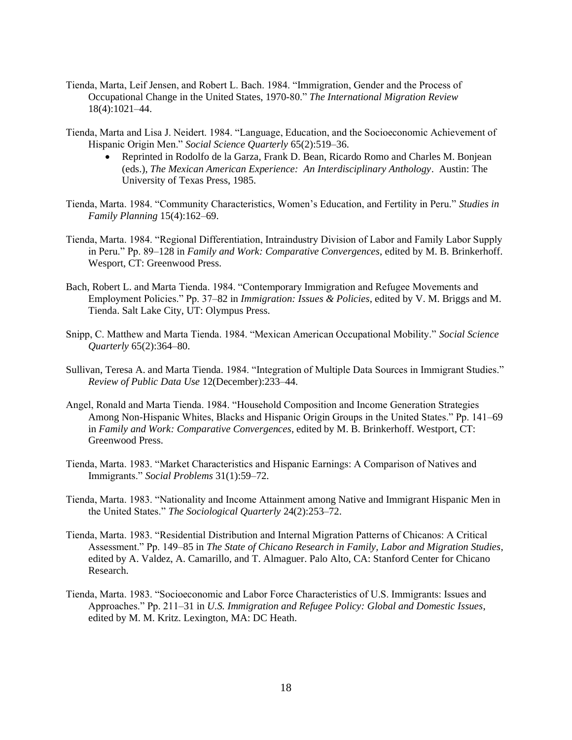- Tienda, Marta, Leif Jensen, and Robert L. Bach. 1984. "Immigration, Gender and the Process of Occupational Change in the United States, 1970-80." *The International Migration Review* 18(4):1021–44.
- Tienda, Marta and Lisa J. Neidert. 1984. "Language, Education, and the Socioeconomic Achievement of Hispanic Origin Men." *Social Science Quarterly* 65(2):519–36.
	- Reprinted in Rodolfo de la Garza, Frank D. Bean, Ricardo Romo and Charles M. Bonjean (eds.), *The Mexican American Experience: An Interdisciplinary Anthology*. Austin: The University of Texas Press, 1985.
- Tienda, Marta. 1984. "Community Characteristics, Women's Education, and Fertility in Peru." *Studies in Family Planning* 15(4):162–69.
- Tienda, Marta. 1984. "Regional Differentiation, Intraindustry Division of Labor and Family Labor Supply in Peru." Pp. 89–128 in *Family and Work: Comparative Convergences*, edited by M. B. Brinkerhoff. Wesport, CT: Greenwood Press.
- Bach, Robert L. and Marta Tienda. 1984. "Contemporary Immigration and Refugee Movements and Employment Policies." Pp. 37–82 in *Immigration: Issues & Policies*, edited by V. M. Briggs and M. Tienda. Salt Lake City, UT: Olympus Press.
- Snipp, C. Matthew and Marta Tienda. 1984. "Mexican American Occupational Mobility." *Social Science Quarterly* 65(2):364–80.
- Sullivan, Teresa A. and Marta Tienda. 1984. "Integration of Multiple Data Sources in Immigrant Studies." *Review of Public Data Use* 12(December):233–44.
- Angel, Ronald and Marta Tienda. 1984. "Household Composition and Income Generation Strategies Among Non-Hispanic Whites, Blacks and Hispanic Origin Groups in the United States." Pp. 141–69 in *Family and Work: Comparative Convergences*, edited by M. B. Brinkerhoff. Westport, CT: Greenwood Press.
- Tienda, Marta. 1983. "Market Characteristics and Hispanic Earnings: A Comparison of Natives and Immigrants." *Social Problems* 31(1):59–72.
- Tienda, Marta. 1983. "Nationality and Income Attainment among Native and Immigrant Hispanic Men in the United States." *The Sociological Quarterly* 24(2):253–72.
- Tienda, Marta. 1983. "Residential Distribution and Internal Migration Patterns of Chicanos: A Critical Assessment." Pp. 149–85 in *The State of Chicano Research in Family, Labor and Migration Studies*, edited by A. Valdez, A. Camarillo, and T. Almaguer. Palo Alto, CA: Stanford Center for Chicano Research.
- Tienda, Marta. 1983. "Socioeconomic and Labor Force Characteristics of U.S. Immigrants: Issues and Approaches." Pp. 211–31 in *U.S. Immigration and Refugee Policy: Global and Domestic Issues*, edited by M. M. Kritz. Lexington, MA: DC Heath.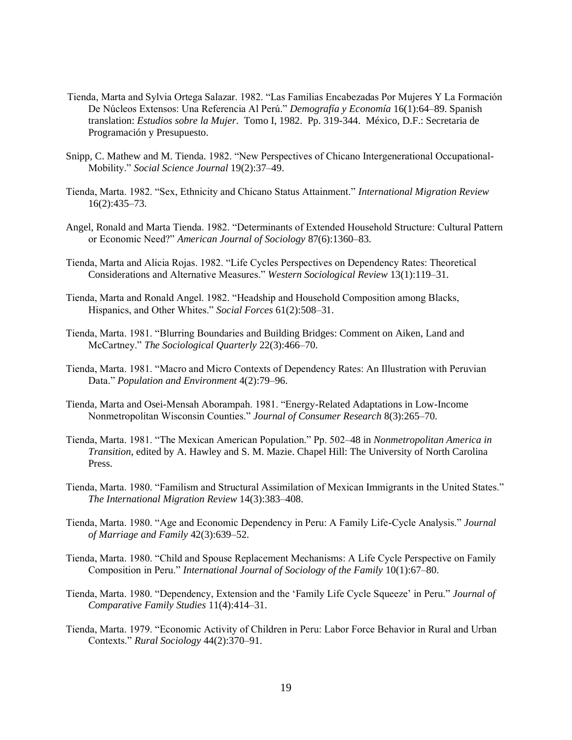- Tienda, Marta and Sylvia Ortega Salazar. 1982. "Las Familias Encabezadas Por Mujeres Y La Formación De Núcleos Extensos: Una Referencia Al Perú." *Demografía y Economía* 16(1):64–89. Spanish translation: *Estudios sobre la Mujer*. Tomo I, 1982. Pp. 319-344. México, D.F.: Secretaria de Programación y Presupuesto.
- Snipp, C. Mathew and M. Tienda. 1982. "New Perspectives of Chicano Intergenerational Occupational-Mobility." *Social Science Journal* 19(2):37–49.
- Tienda, Marta. 1982. "Sex, Ethnicity and Chicano Status Attainment." *International Migration Review* 16(2):435–73.
- Angel, Ronald and Marta Tienda. 1982. "Determinants of Extended Household Structure: Cultural Pattern or Economic Need?" *American Journal of Sociology* 87(6):1360–83.
- Tienda, Marta and Alicia Rojas. 1982. "Life Cycles Perspectives on Dependency Rates: Theoretical Considerations and Alternative Measures." *Western Sociological Review* 13(1):119–31.
- Tienda, Marta and Ronald Angel. 1982. "Headship and Household Composition among Blacks, Hispanics, and Other Whites." *Social Forces* 61(2):508–31.
- Tienda, Marta. 1981. "Blurring Boundaries and Building Bridges: Comment on Aiken, Land and McCartney." *The Sociological Quarterly* 22(3):466–70.
- Tienda, Marta. 1981. "Macro and Micro Contexts of Dependency Rates: An Illustration with Peruvian Data." *Population and Environment* 4(2):79–96.
- Tienda, Marta and Osei-Mensah Aborampah. 1981. "Energy-Related Adaptations in Low-Income Nonmetropolitan Wisconsin Counties." *Journal of Consumer Research* 8(3):265–70.
- Tienda, Marta. 1981. "The Mexican American Population." Pp. 502–48 in *Nonmetropolitan America in Transition*, edited by A. Hawley and S. M. Mazie. Chapel Hill: The University of North Carolina Press.
- Tienda, Marta. 1980. "Familism and Structural Assimilation of Mexican Immigrants in the United States." *The International Migration Review* 14(3):383–408.
- Tienda, Marta. 1980. "Age and Economic Dependency in Peru: A Family Life-Cycle Analysis." *Journal of Marriage and Family* 42(3):639–52.
- Tienda, Marta. 1980. "Child and Spouse Replacement Mechanisms: A Life Cycle Perspective on Family Composition in Peru." *International Journal of Sociology of the Family* 10(1):67–80.
- Tienda, Marta. 1980. "Dependency, Extension and the 'Family Life Cycle Squeeze' in Peru." *Journal of Comparative Family Studies* 11(4):414–31.
- Tienda, Marta. 1979. "Economic Activity of Children in Peru: Labor Force Behavior in Rural and Urban Contexts." *Rural Sociology* 44(2):370–91.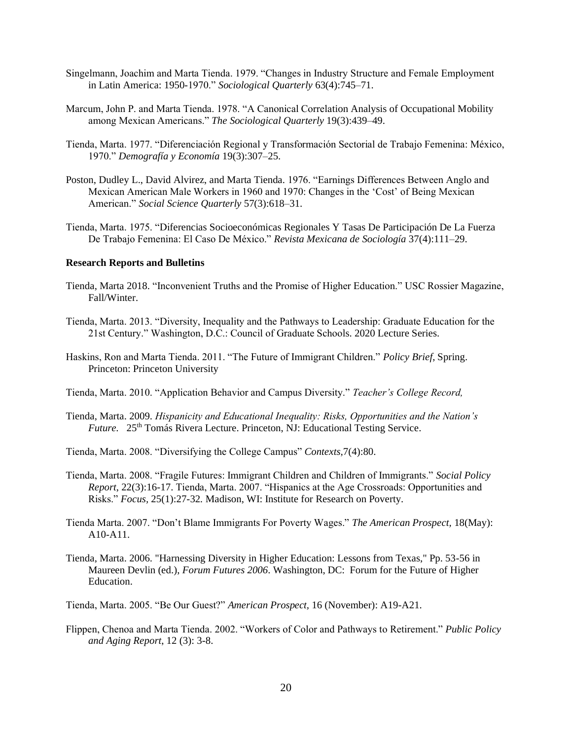- Singelmann, Joachim and Marta Tienda. 1979. "Changes in Industry Structure and Female Employment in Latin America: 1950-1970." *Sociological Quarterly* 63(4):745–71.
- Marcum, John P. and Marta Tienda. 1978. "A Canonical Correlation Analysis of Occupational Mobility among Mexican Americans." *The Sociological Quarterly* 19(3):439–49.
- Tienda, Marta. 1977. "Diferenciación Regional y Transformación Sectorial de Trabajo Femenina: México, 1970." *Demografía y Economía* 19(3):307–25.
- Poston, Dudley L., David Alvirez, and Marta Tienda. 1976. "Earnings Differences Between Anglo and Mexican American Male Workers in 1960 and 1970: Changes in the 'Cost' of Being Mexican American." *Social Science Quarterly* 57(3):618–31.
- Tienda, Marta. 1975. "Diferencias Socioeconómicas Regionales Y Tasas De Participación De La Fuerza De Trabajo Femenina: El Caso De México." *Revista Mexicana de Sociología* 37(4):111–29.

## **Research Reports and Bulletins**

- Tienda, Marta 2018. "Inconvenient Truths and the Promise of Higher Education." USC Rossier Magazine, Fall/Winter.
- Tienda, Marta. 2013. "Diversity, Inequality and the Pathways to Leadership: Graduate Education for the 21st Century." Washington, D.C.: Council of Graduate Schools. 2020 Lecture Series.
- Haskins, Ron and Marta Tienda. 2011. "The Future of Immigrant Children." *Policy Brief*, Spring. Princeton: Princeton University
- Tienda, Marta. 2010. "Application Behavior and Campus Diversity." *Teacher's College Record,*
- Tienda, Marta. 2009. *Hispanicity and Educational Inequality: Risks, Opportunities and the Nation's Future.* 25<sup>th</sup> Tomás Rivera Lecture. Princeton, NJ: Educational Testing Service.
- Tienda, Marta. 2008. "Diversifying the College Campus" *Contexts,*7(4):80.
- Tienda, Marta. 2008. "Fragile Futures: Immigrant Children and Children of Immigrants." *Social Policy Report*, 22(3):16-17. Tienda, Marta. 2007. "Hispanics at the Age Crossroads: Opportunities and Risks." *Focus,* 25(1):27-32*.* Madison, WI: Institute for Research on Poverty.
- Tienda Marta. 2007. "Don't Blame Immigrants For Poverty Wages." *The American Prospect,* 18(May): A10-A11.
- Tienda, Marta. 2006. "Harnessing Diversity in Higher Education: Lessons from Texas," Pp. 53-56 in Maureen Devlin (ed.), *Forum Futures 2006*. Washington, DC: Forum for the Future of Higher Education.

Tienda, Marta. 2005. "Be Our Guest?" *American Prospect,* 16 (November): A19-A21.

Flippen, Chenoa and Marta Tienda. 2002. "Workers of Color and Pathways to Retirement." *Public Policy and Aging Report*, 12 (3): 3-8.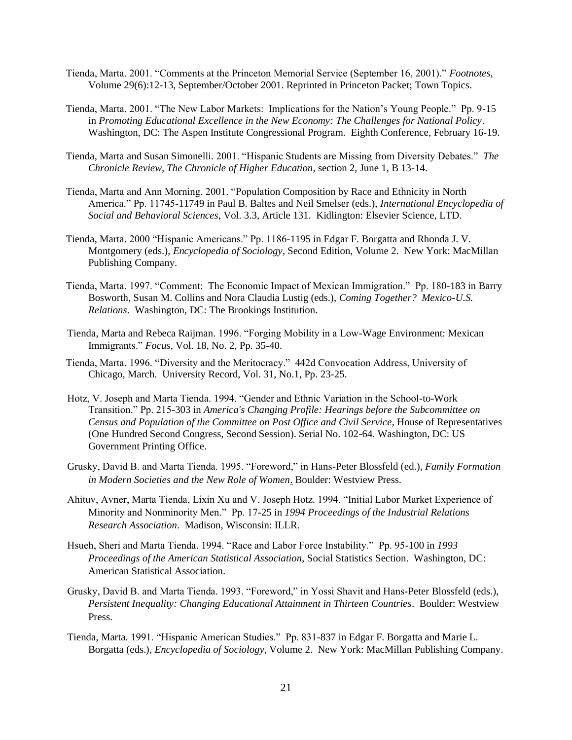- Tienda, Marta. 2001. "Comments at the Princeton Memorial Service (September 16, 2001)." *Footnotes*, Volume 29(6):12-13, September/October 2001. Reprinted in Princeton Packet; Town Topics.
- Tienda, Marta. 2001. "The New Labor Markets: Implications for the Nation's Young People." Pp. 9-15 in *Promoting Educational Excellence in the New Economy: The Challenges for National Policy*. Washington, DC: The Aspen Institute Congressional Program. Eighth Conference, February 16-19.
- Tienda, Marta and Susan Simonelli. 2001. "Hispanic Students are Missing from Diversity Debates." *The Chronicle Review, The Chronicle of Higher Education*, section 2, June 1, B 13-14.
- Tienda, Marta and Ann Morning. 2001. "Population Composition by Race and Ethnicity in North America." Pp. 11745-11749 in Paul B. Baltes and Neil Smelser (eds.), *International Encyclopedia of Social and Behavioral Sciences*, Vol. 3.3, Article 131. Kidlington: Elsevier Science, LTD.
- Tienda, Marta. 2000 "Hispanic Americans." Pp. 1186-1195 in Edgar F. Borgatta and Rhonda J. V. Montgomery (eds.), *Encyclopedia of Sociology,* Second Edition, Volume 2. New York: MacMillan Publishing Company.
- Tienda, Marta. 1997. "Comment: The Economic Impact of Mexican Immigration." Pp. 180-183 in Barry Bosworth, Susan M. Collins and Nora Claudia Lustig (eds.), *Coming Together? Mexico-U.S. Relations*. Washington, DC: The Brookings Institution.
- Tienda, Marta and Rebeca Raijman. 1996. "Forging Mobility in a Low-Wage Environment: Mexican Immigrants." *Focus,* Vol. 18, No. 2, Pp. 35-40.
- Tienda, Marta. 1996. "Diversity and the Meritocracy." 442d Convocation Address, University of Chicago, March. University Record, Vol. 31, No.1, Pp. 23-25.
- Hotz, V. Joseph and Marta Tienda. 1994. "Gender and Ethnic Variation in the School-to-Work Transition." Pp. 215-303 in *America's Changing Profile: Hearings before the Subcommittee on Census and Population of the Committee on Post Office and Civil Service*, House of Representatives (One Hundred Second Congress, Second Session). Serial No. 102-64. Washington, DC: US Government Printing Office.
- Grusky, David B. and Marta Tienda. 1995. "Foreword," in Hans-Peter Blossfeld (ed.), *Family Formation in Modern Societies and the New Role of Women*. Boulder: Westview Press.
- Ahituv, Avner, Marta Tienda, Lixin Xu and V. Joseph Hotz. 1994. "Initial Labor Market Experience of Minority and Nonminority Men." Pp. 17-25 in *1994 Proceedings of the Industrial Relations Research Association*. Madison, Wisconsin: ILLR.
- Hsueh, Sheri and Marta Tienda. 1994. "Race and Labor Force Instability." Pp. 95-100 in *1993 Proceedings of the American Statistical Association*, Social Statistics Section. Washington, DC: American Statistical Association.
- Grusky, David B. and Marta Tienda. 1993. "Foreword," in Yossi Shavit and Hans-Peter Blossfeld (eds.), *Persistent Inequality: Changing Educational Attainment in Thirteen Countries*. Boulder: Westview Press.
- Tienda, Marta. 1991. "Hispanic American Studies." Pp. 831-837 in Edgar F. Borgatta and Marie L. Borgatta (eds.), *Encyclopedia of Sociology,* Volume 2. New York: MacMillan Publishing Company.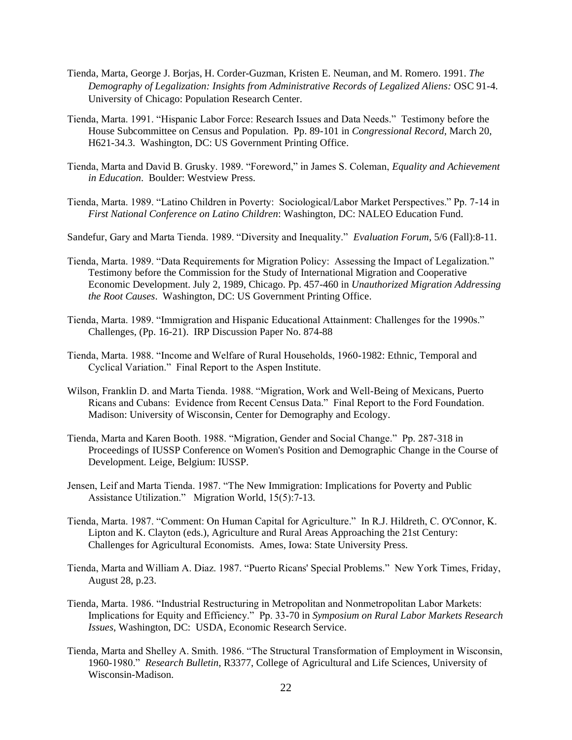- Tienda, Marta, George J. Borjas, H. Corder-Guzman, Kristen E. Neuman, and M. Romero. 1991. *The Demography of Legalization: Insights from Administrative Records of Legalized Aliens:* OSC 91-4. University of Chicago: Population Research Center.
- Tienda, Marta. 1991. "Hispanic Labor Force: Research Issues and Data Needs." Testimony before the House Subcommittee on Census and Population. Pp. 89-101 in *Congressional Record*, March 20, H621-34.3. Washington, DC: US Government Printing Office.
- Tienda, Marta and David B. Grusky. 1989. "Foreword," in James S. Coleman, *Equality and Achievement in Education*. Boulder: Westview Press.
- Tienda, Marta. 1989. "Latino Children in Poverty: Sociological/Labor Market Perspectives." Pp. 7-14 in *First National Conference on Latino Children*: Washington, DC: NALEO Education Fund.

Sandefur, Gary and Marta Tienda. 1989. "Diversity and Inequality." *Evaluation Forum*, 5/6 (Fall):8-11.

- Tienda, Marta. 1989. "Data Requirements for Migration Policy: Assessing the Impact of Legalization." Testimony before the Commission for the Study of International Migration and Cooperative Economic Development. July 2, 1989, Chicago. Pp. 457-460 in *Unauthorized Migration Addressing the Root Causes*. Washington, DC: US Government Printing Office.
- Tienda, Marta. 1989. "Immigration and Hispanic Educational Attainment: Challenges for the 1990s." Challenges, (Pp. 16-21). IRP Discussion Paper No. 874-88
- Tienda, Marta. 1988. "Income and Welfare of Rural Households, 1960-1982: Ethnic, Temporal and Cyclical Variation." Final Report to the Aspen Institute.
- Wilson, Franklin D. and Marta Tienda. 1988. "Migration, Work and Well-Being of Mexicans, Puerto Ricans and Cubans: Evidence from Recent Census Data." Final Report to the Ford Foundation. Madison: University of Wisconsin, Center for Demography and Ecology.
- Tienda, Marta and Karen Booth. 1988. "Migration, Gender and Social Change." Pp. 287-318 in Proceedings of IUSSP Conference on Women's Position and Demographic Change in the Course of Development. Leige, Belgium: IUSSP.
- Jensen, Leif and Marta Tienda. 1987. "The New Immigration: Implications for Poverty and Public Assistance Utilization." Migration World, 15(5):7-13.
- Tienda, Marta. 1987. "Comment: On Human Capital for Agriculture." In R.J. Hildreth, C. O'Connor, K. Lipton and K. Clayton (eds.), Agriculture and Rural Areas Approaching the 21st Century: Challenges for Agricultural Economists. Ames, Iowa: State University Press.
- Tienda, Marta and William A. Diaz. 1987. "Puerto Ricans' Special Problems." New York Times, Friday, August 28, p.23.
- Tienda, Marta. 1986. "Industrial Restructuring in Metropolitan and Nonmetropolitan Labor Markets: Implications for Equity and Efficiency." Pp. 33-70 in *Symposium on Rural Labor Markets Research Issues*, Washington, DC: USDA, Economic Research Service.
- Tienda, Marta and Shelley A. Smith. 1986. "The Structural Transformation of Employment in Wisconsin, 1960-1980." *Research Bulletin*, R3377, College of Agricultural and Life Sciences, University of Wisconsin-Madison.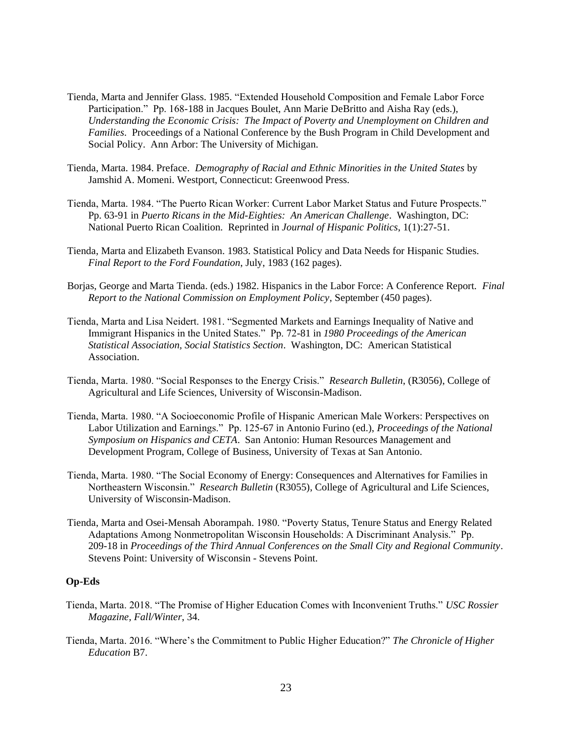- Tienda, Marta and Jennifer Glass. 1985. "Extended Household Composition and Female Labor Force Participation." Pp. 168-188 in Jacques Boulet, Ann Marie DeBritto and Aisha Ray (eds.), *Understanding the Economic Crisis: The Impact of Poverty and Unemployment on Children and Families*. Proceedings of a National Conference by the Bush Program in Child Development and Social Policy. Ann Arbor: The University of Michigan.
- Tienda, Marta. 1984. Preface. *Demography of Racial and Ethnic Minorities in the United States* by Jamshid A. Momeni. Westport, Connecticut: Greenwood Press.
- Tienda, Marta. 1984. "The Puerto Rican Worker: Current Labor Market Status and Future Prospects." Pp. 63-91 in *Puerto Ricans in the Mid-Eighties: An American Challenge*. Washington, DC: National Puerto Rican Coalition. Reprinted in *Journal of Hispanic Politics*, 1(1):27-51.
- Tienda, Marta and Elizabeth Evanson. 1983. Statistical Policy and Data Needs for Hispanic Studies. *Final Report to the Ford Foundation*, July, 1983 (162 pages).
- Borjas, George and Marta Tienda. (eds.) 1982. Hispanics in the Labor Force: A Conference Report. *Final Report to the National Commission on Employment Policy*, September (450 pages).
- Tienda, Marta and Lisa Neidert. 1981. "Segmented Markets and Earnings Inequality of Native and Immigrant Hispanics in the United States." Pp. 72-81 in *1980 Proceedings of the American Statistical Association, Social Statistics Section*. Washington, DC: American Statistical Association.
- Tienda, Marta. 1980. "Social Responses to the Energy Crisis." *Research Bulletin*, (R3056), College of Agricultural and Life Sciences, University of Wisconsin-Madison.
- Tienda, Marta. 1980. "A Socioeconomic Profile of Hispanic American Male Workers: Perspectives on Labor Utilization and Earnings." Pp. 125-67 in Antonio Furino (ed.), *Proceedings of the National Symposium on Hispanics and CETA*. San Antonio: Human Resources Management and Development Program, College of Business, University of Texas at San Antonio.
- Tienda, Marta. 1980. "The Social Economy of Energy: Consequences and Alternatives for Families in Northeastern Wisconsin." *Research Bulletin* (R3055), College of Agricultural and Life Sciences, University of Wisconsin-Madison.
- Tienda, Marta and Osei-Mensah Aborampah. 1980. "Poverty Status, Tenure Status and Energy Related Adaptations Among Nonmetropolitan Wisconsin Households: A Discriminant Analysis." Pp. 209-18 in *Proceedings of the Third Annual Conferences on the Small City and Regional Community*. Stevens Point: University of Wisconsin - Stevens Point.

### **Op-Eds**

- Tienda, Marta. 2018. "The Promise of Higher Education Comes with Inconvenient Truths." *USC Rossier Magazine, Fall/Winter*, 34.
- Tienda, Marta. 2016. "Where's the Commitment to Public Higher Education?" *The Chronicle of Higher Education* B7.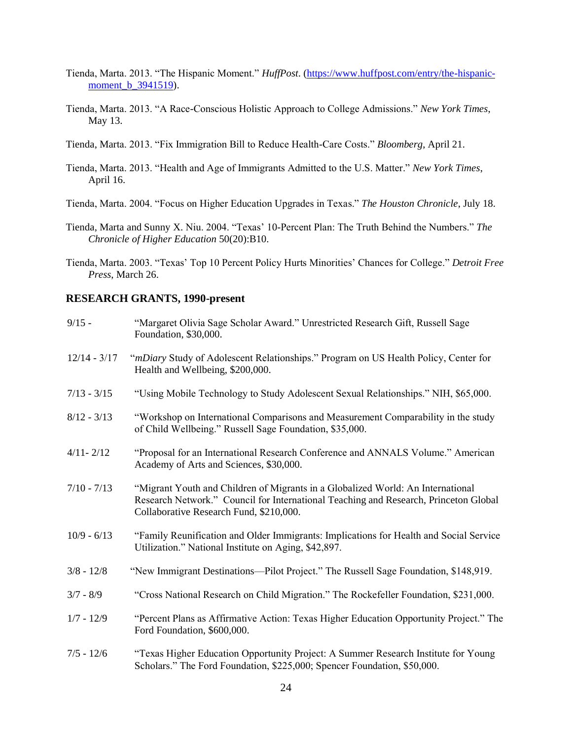- Tienda, Marta. 2013. "The Hispanic Moment." *HuffPost*. [\(https://www.huffpost.com/entry/the-hispanic](https://www.huffpost.com/entry/the-hispanic-moment_b_3941519)[moment\\_b\\_3941519\)](https://www.huffpost.com/entry/the-hispanic-moment_b_3941519).
- Tienda, Marta. 2013. "A Race-Conscious Holistic Approach to College Admissions." *New York Times*, May 13.
- Tienda, Marta. 2013. "Fix Immigration Bill to Reduce Health-Care Costs." *Bloomberg*, April 21.
- Tienda, Marta. 2013. "Health and Age of Immigrants Admitted to the U.S. Matter." *New York Times*, April 16.
- Tienda, Marta. 2004. "Focus on Higher Education Upgrades in Texas." *The Houston Chronicle*, July 18.
- Tienda, Marta and Sunny X. Niu. 2004. "Texas' 10-Percent Plan: The Truth Behind the Numbers." *The Chronicle of Higher Education* 50(20):B10.
- Tienda, Marta. 2003. "Texas' Top 10 Percent Policy Hurts Minorities' Chances for College." *Detroit Free Press*, March 26.

### **RESEARCH GRANTS, 1990-present**

| $9/15 -$       | "Margaret Olivia Sage Scholar Award." Unrestricted Research Gift, Russell Sage<br>Foundation, \$30,000.                                                                                                            |
|----------------|--------------------------------------------------------------------------------------------------------------------------------------------------------------------------------------------------------------------|
| $12/14 - 3/17$ | "mDiary Study of Adolescent Relationships." Program on US Health Policy, Center for<br>Health and Wellbeing, \$200,000.                                                                                            |
| $7/13 - 3/15$  | "Using Mobile Technology to Study Adolescent Sexual Relationships." NIH, \$65,000.                                                                                                                                 |
| $8/12 - 3/13$  | "Workshop on International Comparisons and Measurement Comparability in the study<br>of Child Wellbeing." Russell Sage Foundation, \$35,000.                                                                       |
| $4/11 - 2/12$  | "Proposal for an International Research Conference and ANNALS Volume." American<br>Academy of Arts and Sciences, \$30,000.                                                                                         |
| $7/10 - 7/13$  | "Migrant Youth and Children of Migrants in a Globalized World: An International<br>Research Network." Council for International Teaching and Research, Princeton Global<br>Collaborative Research Fund, \$210,000. |
| $10/9 - 6/13$  | "Family Reunification and Older Immigrants: Implications for Health and Social Service<br>Utilization." National Institute on Aging, \$42,897.                                                                     |
| $3/8 - 12/8$   | "New Immigrant Destinations—Pilot Project." The Russell Sage Foundation, \$148,919.                                                                                                                                |
| $3/7 - 8/9$    | "Cross National Research on Child Migration." The Rockefeller Foundation, \$231,000.                                                                                                                               |
| $1/7 - 12/9$   | "Percent Plans as Affirmative Action: Texas Higher Education Opportunity Project." The<br>Ford Foundation, \$600,000.                                                                                              |
| $7/5 - 12/6$   | "Texas Higher Education Opportunity Project: A Summer Research Institute for Young<br>Scholars." The Ford Foundation, \$225,000; Spencer Foundation, \$50,000.                                                     |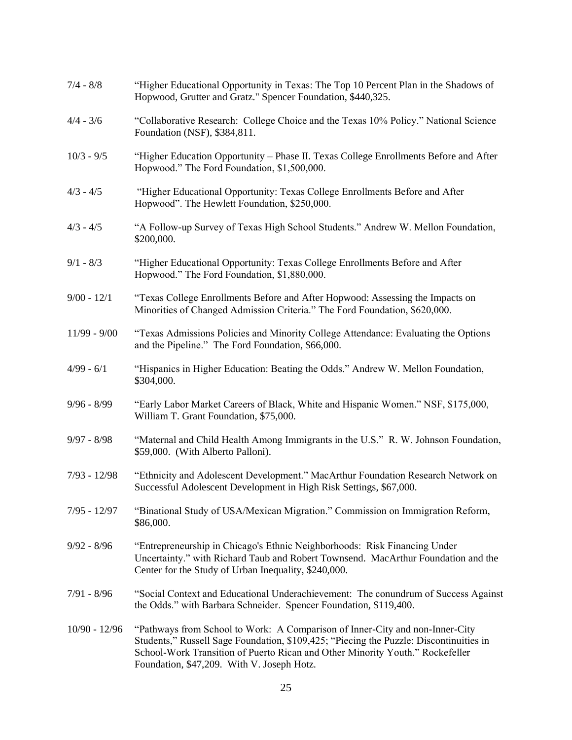| $7/4 - 8/8$     | "Higher Educational Opportunity in Texas: The Top 10 Percent Plan in the Shadows of<br>Hopwood, Grutter and Gratz." Spencer Foundation, \$440,325.                                                                                                                                                    |
|-----------------|-------------------------------------------------------------------------------------------------------------------------------------------------------------------------------------------------------------------------------------------------------------------------------------------------------|
| $4/4 - 3/6$     | "Collaborative Research: College Choice and the Texas 10% Policy." National Science<br>Foundation (NSF), \$384,811.                                                                                                                                                                                   |
| $10/3 - 9/5$    | "Higher Education Opportunity – Phase II. Texas College Enrollments Before and After<br>Hopwood." The Ford Foundation, \$1,500,000.                                                                                                                                                                   |
| $4/3 - 4/5$     | "Higher Educational Opportunity: Texas College Enrollments Before and After<br>Hopwood". The Hewlett Foundation, \$250,000.                                                                                                                                                                           |
| $4/3 - 4/5$     | "A Follow-up Survey of Texas High School Students." Andrew W. Mellon Foundation,<br>\$200,000.                                                                                                                                                                                                        |
| $9/1 - 8/3$     | "Higher Educational Opportunity: Texas College Enrollments Before and After<br>Hopwood." The Ford Foundation, \$1,880,000.                                                                                                                                                                            |
| $9/00 - 12/1$   | "Texas College Enrollments Before and After Hopwood: Assessing the Impacts on<br>Minorities of Changed Admission Criteria." The Ford Foundation, \$620,000.                                                                                                                                           |
| $11/99 - 9/00$  | "Texas Admissions Policies and Minority College Attendance: Evaluating the Options<br>and the Pipeline." The Ford Foundation, \$66,000.                                                                                                                                                               |
| $4/99 - 6/1$    | "Hispanics in Higher Education: Beating the Odds." Andrew W. Mellon Foundation,<br>\$304,000.                                                                                                                                                                                                         |
| $9/96 - 8/99$   | "Early Labor Market Careers of Black, White and Hispanic Women." NSF, \$175,000,<br>William T. Grant Foundation, \$75,000.                                                                                                                                                                            |
| $9/97 - 8/98$   | "Maternal and Child Health Among Immigrants in the U.S." R. W. Johnson Foundation,<br>\$59,000. (With Alberto Palloni).                                                                                                                                                                               |
| $7/93 - 12/98$  | "Ethnicity and Adolescent Development." MacArthur Foundation Research Network on<br>Successful Adolescent Development in High Risk Settings, \$67,000.                                                                                                                                                |
| $7/95 - 12/97$  | "Binational Study of USA/Mexican Migration." Commission on Immigration Reform,<br>\$86,000.                                                                                                                                                                                                           |
| $9/92 - 8/96$   | "Entrepreneurship in Chicago's Ethnic Neighborhoods: Risk Financing Under<br>Uncertainty." with Richard Taub and Robert Townsend. MacArthur Foundation and the<br>Center for the Study of Urban Inequality, \$240,000.                                                                                |
| $7/91 - 8/96$   | "Social Context and Educational Underachievement: The conundrum of Success Against<br>the Odds." with Barbara Schneider. Spencer Foundation, \$119,400.                                                                                                                                               |
| $10/90 - 12/96$ | "Pathways from School to Work: A Comparison of Inner-City and non-Inner-City<br>Students," Russell Sage Foundation, \$109,425; "Piecing the Puzzle: Discontinuities in<br>School-Work Transition of Puerto Rican and Other Minority Youth." Rockefeller<br>Foundation, \$47,209. With V. Joseph Hotz. |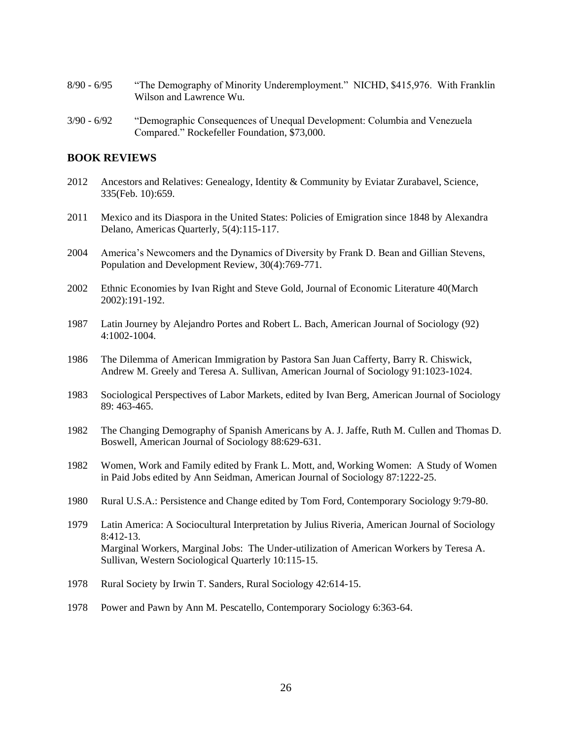- 8/90 6/95 "The Demography of Minority Underemployment." NICHD, \$415,976. With Franklin Wilson and Lawrence Wu.
- 3/90 6/92 "Demographic Consequences of Unequal Development: Columbia and Venezuela Compared." Rockefeller Foundation, \$73,000.

## **BOOK REVIEWS**

- 2012 Ancestors and Relatives: Genealogy, Identity & Community by Eviatar Zurabavel, Science, 335(Feb. 10):659.
- 2011 Mexico and its Diaspora in the United States: Policies of Emigration since 1848 by Alexandra Delano, Americas Quarterly, 5(4):115-117.
- 2004 America's Newcomers and the Dynamics of Diversity by Frank D. Bean and Gillian Stevens, Population and Development Review, 30(4):769-771.
- 2002 Ethnic Economies by Ivan Right and Steve Gold, Journal of Economic Literature 40(March 2002):191-192.
- 1987 Latin Journey by Alejandro Portes and Robert L. Bach, American Journal of Sociology (92) 4:1002-1004.
- 1986 The Dilemma of American Immigration by Pastora San Juan Cafferty, Barry R. Chiswick, Andrew M. Greely and Teresa A. Sullivan, American Journal of Sociology 91:1023-1024.
- 1983 Sociological Perspectives of Labor Markets, edited by Ivan Berg, American Journal of Sociology 89: 463-465.
- 1982 The Changing Demography of Spanish Americans by A. J. Jaffe, Ruth M. Cullen and Thomas D. Boswell, American Journal of Sociology 88:629-631.
- 1982 Women, Work and Family edited by Frank L. Mott, and, Working Women: A Study of Women in Paid Jobs edited by Ann Seidman, American Journal of Sociology 87:1222-25.
- 1980 Rural U.S.A.: Persistence and Change edited by Tom Ford, Contemporary Sociology 9:79-80.
- 1979 Latin America: A Sociocultural Interpretation by Julius Riveria, American Journal of Sociology 8:412-13. Marginal Workers, Marginal Jobs: The Under-utilization of American Workers by Teresa A. Sullivan, Western Sociological Quarterly 10:115-15.
- 1978 Rural Society by Irwin T. Sanders, Rural Sociology 42:614-15.
- 1978 Power and Pawn by Ann M. Pescatello, Contemporary Sociology 6:363-64.